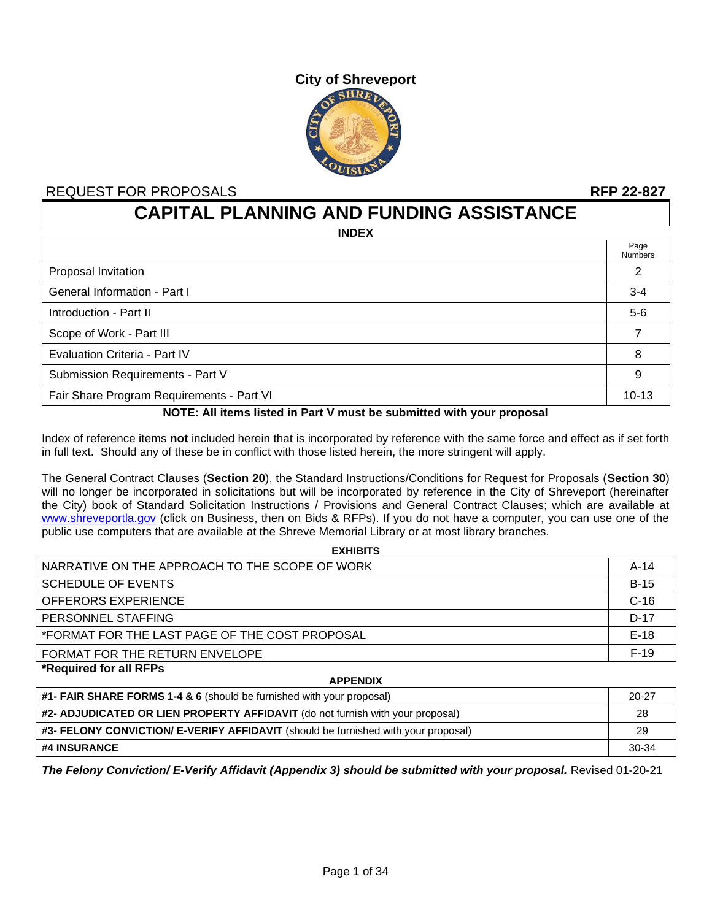# **City of Shreveport**  $SHRE$

# REQUEST FOR PROPOSALS **RFP 22-827**

**CAPITAL PLANNING AND FUNDING ASSISTANCE**

**INDEX**

|                                           | Page<br><b>Numbers</b> |
|-------------------------------------------|------------------------|
| Proposal Invitation                       | 2                      |
| General Information - Part I              | $3 - 4$                |
| Introduction - Part II                    | $5-6$                  |
| Scope of Work - Part III                  | ⇁                      |
| Evaluation Criteria - Part IV             | 8                      |
| Submission Requirements - Part V          | 9                      |
| Fair Share Program Requirements - Part VI | $10 - 13$              |

#### **NOTE: All items listed in Part V must be submitted with your proposal**

Index of reference items **not** included herein that is incorporated by reference with the same force and effect as if set forth in full text. Should any of these be in conflict with those listed herein, the more stringent will apply.

The General Contract Clauses (**Section 20**), the Standard Instructions/Conditions for Request for Proposals (**Section 30**) will no longer be incorporated in solicitations but will be incorporated by reference in the City of Shreveport (hereinafter the City) book of Standard Solicitation Instructions / Provisions and General Contract Clauses; which are available at [www.shreveportla.gov](http://www.shreveportla.gov/) (click on Business, then on Bids & RFPs). If you do not have a computer, you can use one of the public use computers that are available at the Shreve Memorial Library or at most library branches.

**EXHIBITS**

| <b>EXHIBITS</b>                                |        |
|------------------------------------------------|--------|
| NARRATIVE ON THE APPROACH TO THE SCOPE OF WORK | $A-14$ |
| <b>SCHEDULE OF EVENTS</b>                      | $B-15$ |
| <b>OFFERORS EXPERIENCE</b>                     | $C-16$ |
| PERSONNEL STAFFING                             | $D-17$ |
| *FORMAT FOR THE LAST PAGE OF THE COST PROPOSAL | $E-18$ |
| FORMAT FOR THE RETURN ENVELOPE                 | $F-19$ |
| *Required for all RFPs                         |        |

**APPENDIX #1- FAIR SHARE FORMS 1-4 & 6** (should be furnished with your proposal) 20-27 **#2- ADJUDICATED OR LIEN PROPERTY AFFIDAVIT** (do not furnish with your proposal) 28 **#3- FELONY CONVICTION/ E-VERIFY AFFIDAVIT** (should be furnished with your proposal) 29 **#4 INSURANCE** 30-34

*The Felony Conviction/ E-Verify Affidavit (Appendix 3) should be submitted with your proposal.* Revised 01-20-21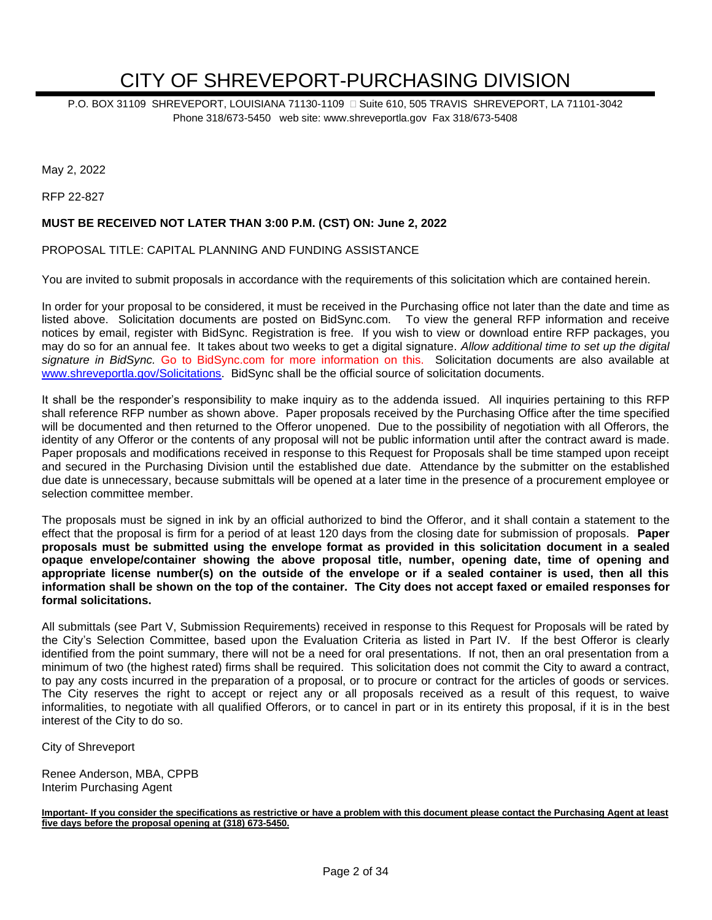# CITY OF SHREVEPORT-PURCHASING DIVISION

P.O. BOX 31109 SHREVEPORT, LOUISIANA 71130-1109 
G Suite 610, 505 TRAVIS SHREVEPORT, LA 71101-3042 Phone 318/673-5450 web site: www.shreveportla.gov Fax 318/673-5408

May 2, 2022

RFP 22-827

#### **MUST BE RECEIVED NOT LATER THAN 3:00 P.M. (CST) ON: June 2, 2022**

#### PROPOSAL TITLE: CAPITAL PLANNING AND FUNDING ASSISTANCE

You are invited to submit proposals in accordance with the requirements of this solicitation which are contained herein.

In order for your proposal to be considered, it must be received in the Purchasing office not later than the date and time as listed above. Solicitation documents are posted on BidSync.com. To view the general RFP information and receive notices by email, register with BidSync. Registration is free. If you wish to view or download entire RFP packages, you may do so for an annual fee. It takes about two weeks to get a digital signature. *Allow additional time to set up the digital signature in BidSync.* Go to BidSync.com for more information on this. Solicitation documents are also available at [www.shreveportla.gov/Solicitations.](http://www.shreveportla.gov/Solicitations) BidSync shall be the official source of solicitation documents.

It shall be the responder's responsibility to make inquiry as to the addenda issued. All inquiries pertaining to this RFP shall reference RFP number as shown above. Paper proposals received by the Purchasing Office after the time specified will be documented and then returned to the Offeror unopened. Due to the possibility of negotiation with all Offerors, the identity of any Offeror or the contents of any proposal will not be public information until after the contract award is made. Paper proposals and modifications received in response to this Request for Proposals shall be time stamped upon receipt and secured in the Purchasing Division until the established due date. Attendance by the submitter on the established due date is unnecessary, because submittals will be opened at a later time in the presence of a procurement employee or selection committee member.

The proposals must be signed in ink by an official authorized to bind the Offeror, and it shall contain a statement to the effect that the proposal is firm for a period of at least 120 days from the closing date for submission of proposals. **Paper proposals must be submitted using the envelope format as provided in this solicitation document in a sealed opaque envelope/container showing the above proposal title, number, opening date, time of opening and appropriate license number(s) on the outside of the envelope or if a sealed container is used, then all this information shall be shown on the top of the container. The City does not accept faxed or emailed responses for formal solicitations.**

All submittals (see Part V, Submission Requirements) received in response to this Request for Proposals will be rated by the City's Selection Committee, based upon the Evaluation Criteria as listed in Part IV. If the best Offeror is clearly identified from the point summary, there will not be a need for oral presentations. If not, then an oral presentation from a minimum of two (the highest rated) firms shall be required. This solicitation does not commit the City to award a contract, to pay any costs incurred in the preparation of a proposal, or to procure or contract for the articles of goods or services. The City reserves the right to accept or reject any or all proposals received as a result of this request, to waive informalities, to negotiate with all qualified Offerors, or to cancel in part or in its entirety this proposal, if it is in the best interest of the City to do so.

City of Shreveport

Renee Anderson, MBA, CPPB Interim Purchasing Agent

**Important- If you consider the specifications as restrictive or have a problem with this document please contact the Purchasing Agent at least five days before the proposal opening at (318) 673-5450.**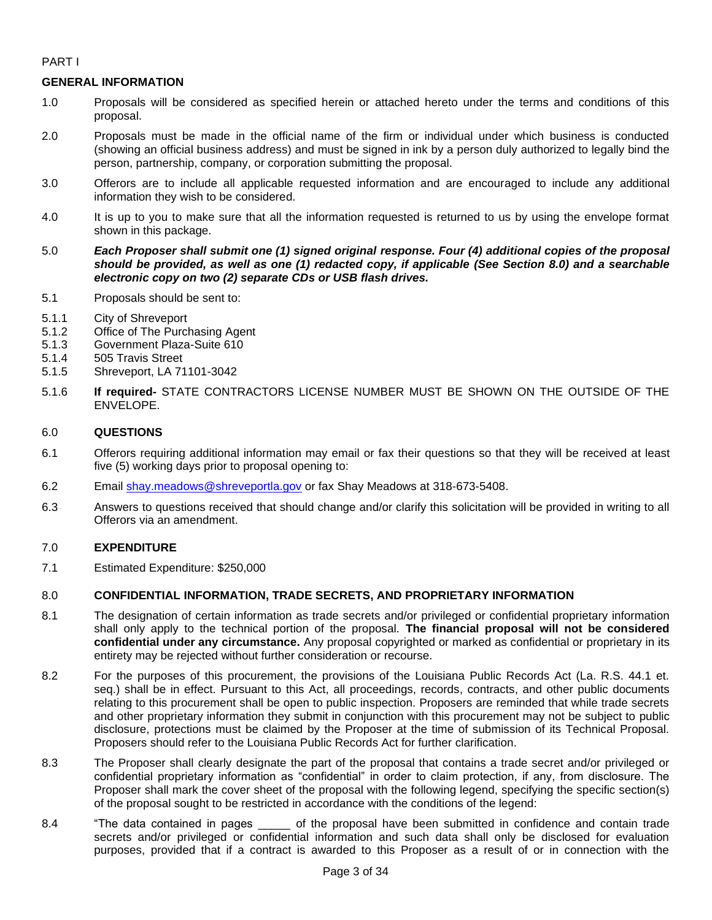## PART I

# **GENERAL INFORMATION**

- 1.0 Proposals will be considered as specified herein or attached hereto under the terms and conditions of this proposal.
- 2.0 Proposals must be made in the official name of the firm or individual under which business is conducted (showing an official business address) and must be signed in ink by a person duly authorized to legally bind the person, partnership, company, or corporation submitting the proposal.
- 3.0 Offerors are to include all applicable requested information and are encouraged to include any additional information they wish to be considered.
- 4.0 It is up to you to make sure that all the information requested is returned to us by using the envelope format shown in this package.
- 5.0 *Each Proposer shall submit one (1) signed original response. Four (4) additional copies of the proposal should be provided, as well as one (1) redacted copy, if applicable (See Section 8.0) and a searchable electronic copy on two (2) separate CDs or USB flash drives.*
- 5.1 Proposals should be sent to:
- 5.1.1 City of Shreveport
- 5.1.2 Office of The Purchasing Agent
- 5.1.3 Government Plaza-Suite 610
- 5.1.4 505 Travis Street
- 5.1.5 Shreveport, LA 71101-3042
- 5.1.6 **If required-** STATE CONTRACTORS LICENSE NUMBER MUST BE SHOWN ON THE OUTSIDE OF THE ENVELOPE.

### 6.0 **QUESTIONS**

- 6.1 Offerors requiring additional information may email or fax their questions so that they will be received at least five (5) working days prior to proposal opening to:
- 6.2 Email [shay.meadows@shreveportla.gov](mailto:shay.meadows@shreveportla.gov) or fax Shay Meadows at 318-673-5408.
- 6.3 Answers to questions received that should change and/or clarify this solicitation will be provided in writing to all Offerors via an amendment.

# 7.0 **EXPENDITURE**

7.1 Estimated Expenditure: \$250,000

### 8.0 **CONFIDENTIAL INFORMATION, TRADE SECRETS, AND PROPRIETARY INFORMATION**

- 8.1 The designation of certain information as trade secrets and/or privileged or confidential proprietary information shall only apply to the technical portion of the proposal. **The financial proposal will not be considered confidential under any circumstance.** Any proposal copyrighted or marked as confidential or proprietary in its entirety may be rejected without further consideration or recourse.
- 8.2 For the purposes of this procurement, the provisions of the Louisiana Public Records Act (La. R.S. 44.1 et. seq.) shall be in effect. Pursuant to this Act, all proceedings, records, contracts, and other public documents relating to this procurement shall be open to public inspection. Proposers are reminded that while trade secrets and other proprietary information they submit in conjunction with this procurement may not be subject to public disclosure, protections must be claimed by the Proposer at the time of submission of its Technical Proposal. Proposers should refer to the Louisiana Public Records Act for further clarification.
- 8.3 The Proposer shall clearly designate the part of the proposal that contains a trade secret and/or privileged or confidential proprietary information as "confidential" in order to claim protection, if any, from disclosure. The Proposer shall mark the cover sheet of the proposal with the following legend, specifying the specific section(s) of the proposal sought to be restricted in accordance with the conditions of the legend:
- 8.4 "The data contained in pages \_\_\_\_\_ of the proposal have been submitted in confidence and contain trade secrets and/or privileged or confidential information and such data shall only be disclosed for evaluation purposes, provided that if a contract is awarded to this Proposer as a result of or in connection with the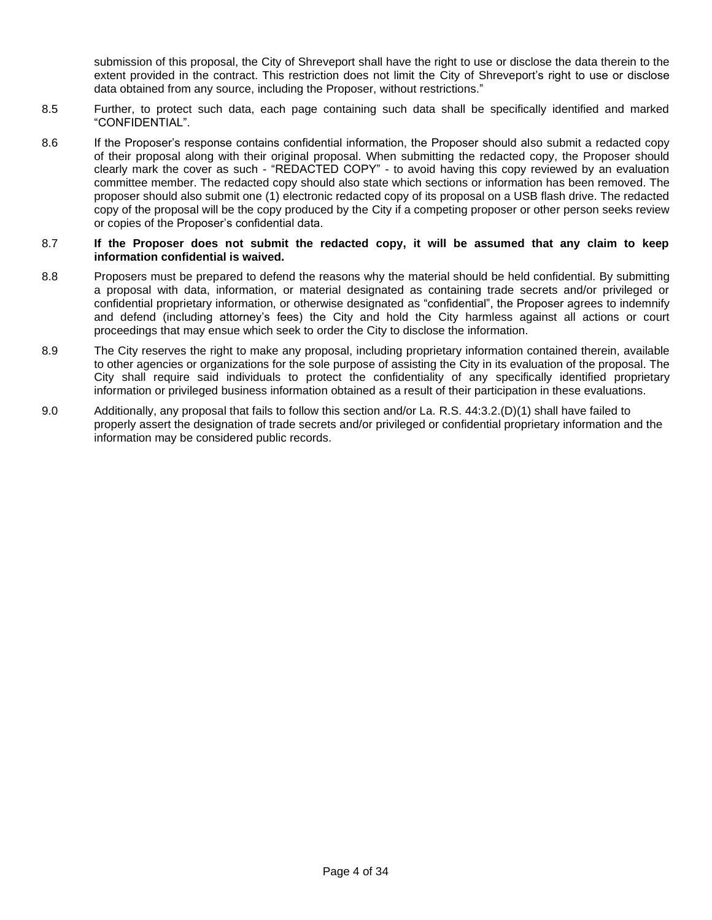submission of this proposal, the City of Shreveport shall have the right to use or disclose the data therein to the extent provided in the contract. This restriction does not limit the City of Shreveport's right to use or disclose data obtained from any source, including the Proposer, without restrictions."

- 8.5 Further, to protect such data, each page containing such data shall be specifically identified and marked "CONFIDENTIAL".
- 8.6 If the Proposer's response contains confidential information, the Proposer should also submit a redacted copy of their proposal along with their original proposal. When submitting the redacted copy, the Proposer should clearly mark the cover as such - "REDACTED COPY" - to avoid having this copy reviewed by an evaluation committee member. The redacted copy should also state which sections or information has been removed. The proposer should also submit one (1) electronic redacted copy of its proposal on a USB flash drive. The redacted copy of the proposal will be the copy produced by the City if a competing proposer or other person seeks review or copies of the Proposer's confidential data.

#### 8.7 **If the Proposer does not submit the redacted copy, it will be assumed that any claim to keep information confidential is waived.**

- 8.8 Proposers must be prepared to defend the reasons why the material should be held confidential. By submitting a proposal with data, information, or material designated as containing trade secrets and/or privileged or confidential proprietary information, or otherwise designated as "confidential", the Proposer agrees to indemnify and defend (including attorney's fees) the City and hold the City harmless against all actions or court proceedings that may ensue which seek to order the City to disclose the information.
- 8.9 The City reserves the right to make any proposal, including proprietary information contained therein, available to other agencies or organizations for the sole purpose of assisting the City in its evaluation of the proposal. The City shall require said individuals to protect the confidentiality of any specifically identified proprietary information or privileged business information obtained as a result of their participation in these evaluations.
- 9.0 Additionally, any proposal that fails to follow this section and/or La. R.S. 44:3.2.(D)(1) shall have failed to properly assert the designation of trade secrets and/or privileged or confidential proprietary information and the information may be considered public records.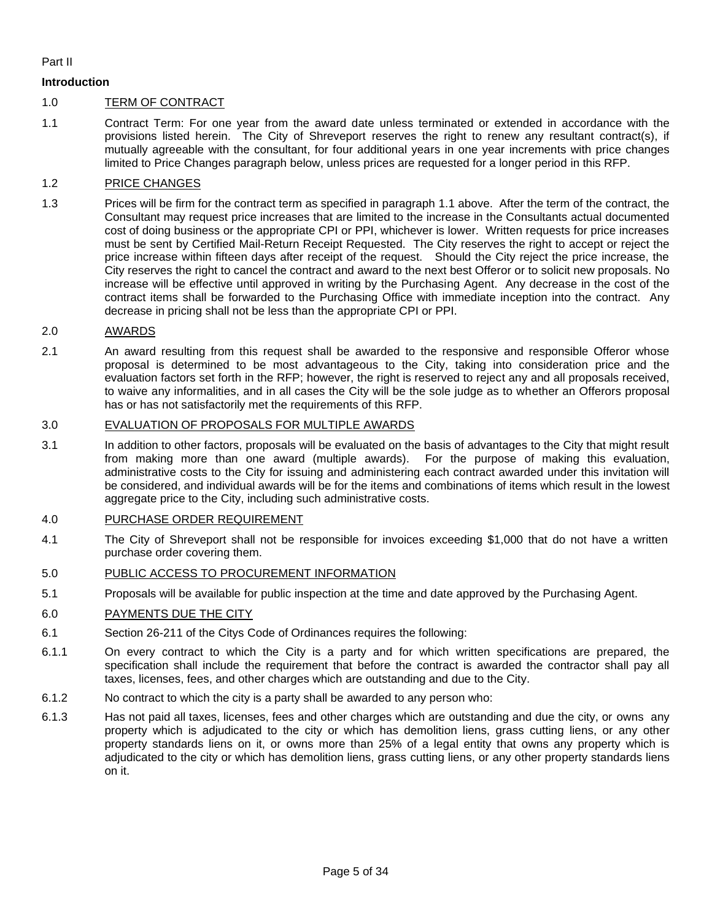#### Part II

#### **Introduction**

#### 1.0 TERM OF CONTRACT

1.1 Contract Term: For one year from the award date unless terminated or extended in accordance with the provisions listed herein. The City of Shreveport reserves the right to renew any resultant contract(s), if mutually agreeable with the consultant, for four additional years in one year increments with price changes limited to Price Changes paragraph below, unless prices are requested for a longer period in this RFP.

#### 1.2 PRICE CHANGES

1.3 Prices will be firm for the contract term as specified in paragraph 1.1 above. After the term of the contract, the Consultant may request price increases that are limited to the increase in the Consultants actual documented cost of doing business or the appropriate CPI or PPI, whichever is lower. Written requests for price increases must be sent by Certified Mail-Return Receipt Requested. The City reserves the right to accept or reject the price increase within fifteen days after receipt of the request. Should the City reject the price increase, the City reserves the right to cancel the contract and award to the next best Offeror or to solicit new proposals. No increase will be effective until approved in writing by the Purchasing Agent. Any decrease in the cost of the contract items shall be forwarded to the Purchasing Office with immediate inception into the contract. Any decrease in pricing shall not be less than the appropriate CPI or PPI.

#### 2.0 AWARDS

2.1 An award resulting from this request shall be awarded to the responsive and responsible Offeror whose proposal is determined to be most advantageous to the City, taking into consideration price and the evaluation factors set forth in the RFP; however, the right is reserved to reject any and all proposals received, to waive any informalities, and in all cases the City will be the sole judge as to whether an Offerors proposal has or has not satisfactorily met the requirements of this RFP.

#### 3.0 EVALUATION OF PROPOSALS FOR MULTIPLE AWARDS

3.1 In addition to other factors, proposals will be evaluated on the basis of advantages to the City that might result from making more than one award (multiple awards). For the purpose of making this evaluation, administrative costs to the City for issuing and administering each contract awarded under this invitation will be considered, and individual awards will be for the items and combinations of items which result in the lowest aggregate price to the City, including such administrative costs.

#### 4.0 PURCHASE ORDER REQUIREMENT

4.1 The City of Shreveport shall not be responsible for invoices exceeding \$1,000 that do not have a written purchase order covering them.

#### 5.0 PUBLIC ACCESS TO PROCUREMENT INFORMATION

5.1 Proposals will be available for public inspection at the time and date approved by the Purchasing Agent.

#### 6.0 PAYMENTS DUE THE CITY

- 6.1 Section 26-211 of the Citys Code of Ordinances requires the following:
- 6.1.1 On every contract to which the City is a party and for which written specifications are prepared, the specification shall include the requirement that before the contract is awarded the contractor shall pay all taxes, licenses, fees, and other charges which are outstanding and due to the City.
- 6.1.2 No contract to which the city is a party shall be awarded to any person who:
- 6.1.3 Has not paid all taxes, licenses, fees and other charges which are outstanding and due the city, or owns any property which is adjudicated to the city or which has demolition liens, grass cutting liens, or any other property standards liens on it, or owns more than 25% of a legal entity that owns any property which is adjudicated to the city or which has demolition liens, grass cutting liens, or any other property standards liens on it.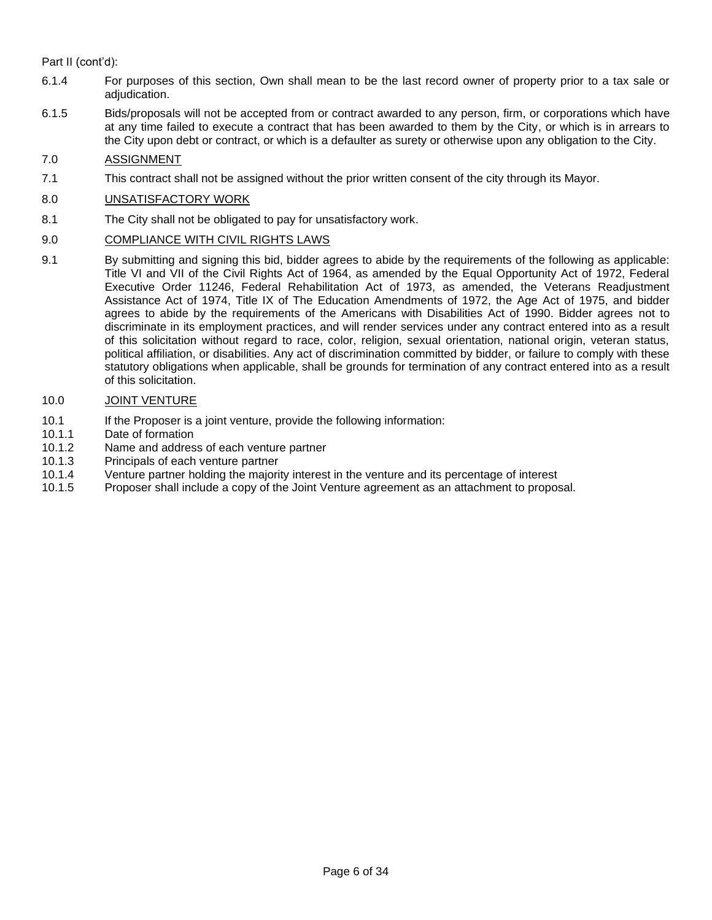Part II (cont'd):

- 6.1.4 For purposes of this section, Own shall mean to be the last record owner of property prior to a tax sale or adjudication.
- 6.1.5 Bids/proposals will not be accepted from or contract awarded to any person, firm, or corporations which have at any time failed to execute a contract that has been awarded to them by the City, or which is in arrears to the City upon debt or contract, or which is a defaulter as surety or otherwise upon any obligation to the City.

#### 7.0 ASSIGNMENT

7.1 This contract shall not be assigned without the prior written consent of the city through its Mayor.

#### 8.0 UNSATISFACTORY WORK

8.1 The City shall not be obligated to pay for unsatisfactory work.

#### 9.0 COMPLIANCE WITH CIVIL RIGHTS LAWS

9.1 By submitting and signing this bid, bidder agrees to abide by the requirements of the following as applicable: Title VI and VII of the Civil Rights Act of 1964, as amended by the Equal Opportunity Act of 1972, Federal Executive Order 11246, Federal Rehabilitation Act of 1973, as amended, the Veterans Readjustment Assistance Act of 1974, Title IX of The Education Amendments of 1972, the Age Act of 1975, and bidder agrees to abide by the requirements of the Americans with Disabilities Act of 1990. Bidder agrees not to discriminate in its employment practices, and will render services under any contract entered into as a result of this solicitation without regard to race, color, religion, sexual orientation, national origin, veteran status, political affiliation, or disabilities. Any act of discrimination committed by bidder, or failure to comply with these statutory obligations when applicable, shall be grounds for termination of any contract entered into as a result of this solicitation.

#### 10.0 JOINT VENTURE

- 10.1 If the Proposer is a joint venture, provide the following information:
- 10.1.1 Date of formation
- 10.1.2 Name and address of each venture partner
- 10.1.3 Principals of each venture partner
- 10.1.4 Venture partner holding the majority interest in the venture and its percentage of interest
- 10.1.5 Proposer shall include a copy of the Joint Venture agreement as an attachment to proposal.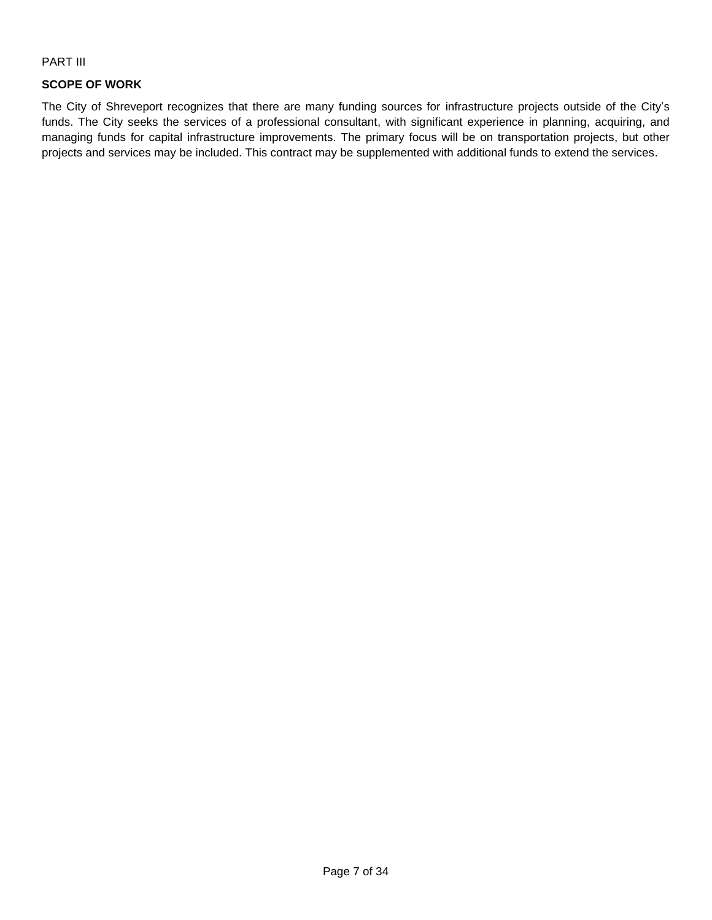#### PART III

# **SCOPE OF WORK**

The City of Shreveport recognizes that there are many funding sources for infrastructure projects outside of the City's funds. The City seeks the services of a professional consultant, with significant experience in planning, acquiring, and managing funds for capital infrastructure improvements. The primary focus will be on transportation projects, but other projects and services may be included. This contract may be supplemented with additional funds to extend the services.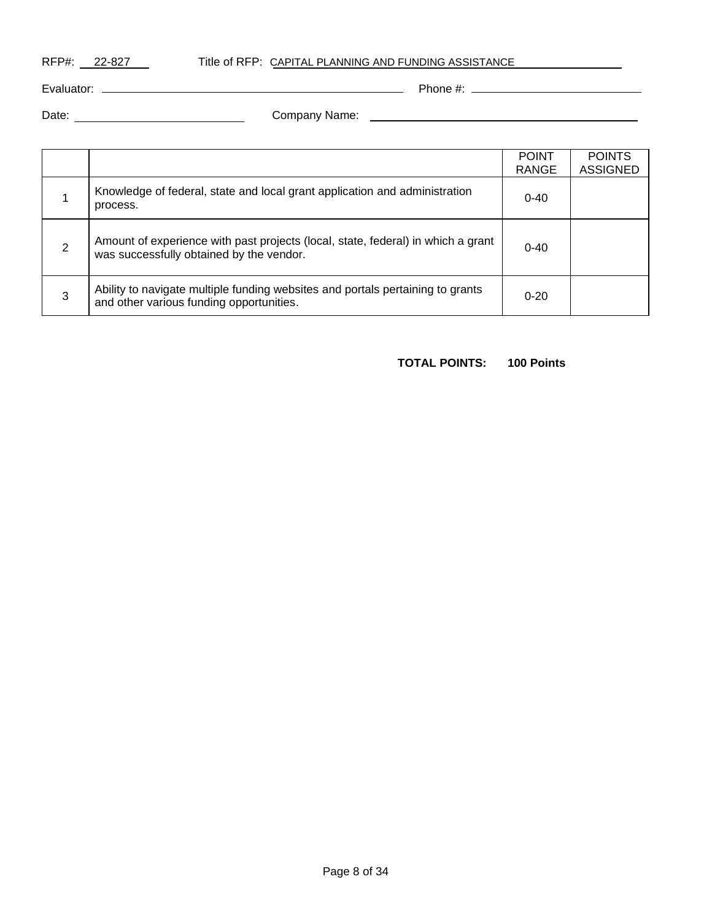RFP#: 22-827 Title of RFP: CAPITAL PLANNING AND FUNDING ASSISTANCE

Evaluator: Phone #:

Date: Company Name:

|   |                                                                                                                              | <b>POINT</b><br>RANGE | <b>POINTS</b><br><b>ASSIGNED</b> |
|---|------------------------------------------------------------------------------------------------------------------------------|-----------------------|----------------------------------|
|   | Knowledge of federal, state and local grant application and administration<br>process.                                       | $0 - 40$              |                                  |
| 2 | Amount of experience with past projects (local, state, federal) in which a grant<br>was successfully obtained by the vendor. | $0 - 40$              |                                  |
| 3 | Ability to navigate multiple funding websites and portals pertaining to grants<br>and other various funding opportunities.   | $0 - 20$              |                                  |

# **TOTAL POINTS: 100 Points**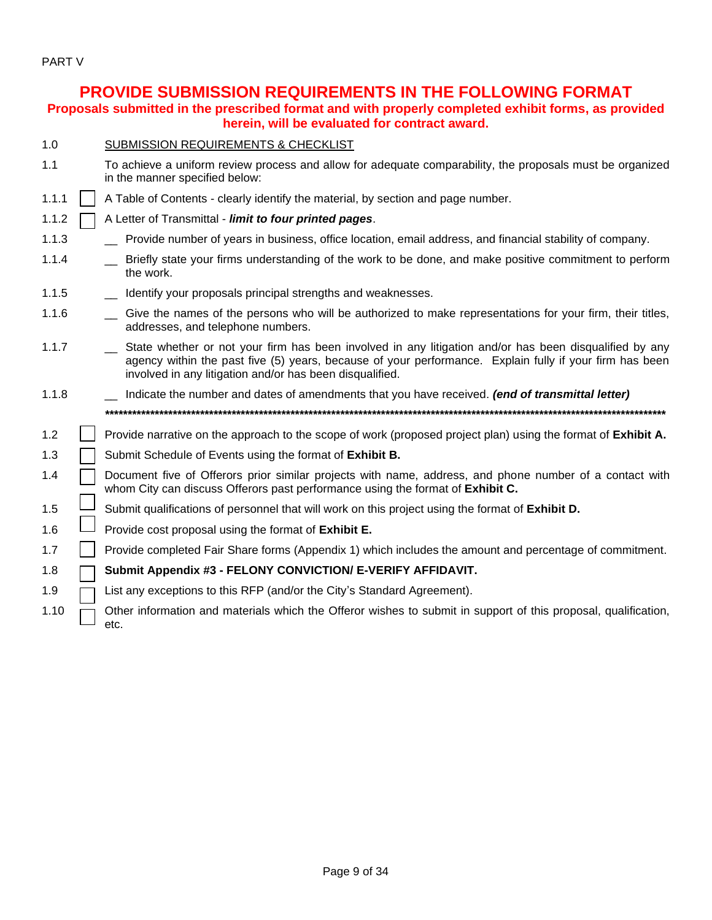PART V

# **PROVIDE SUBMISSION REQUIREMENTS IN THE FOLLOWING FORMAT**

**Proposals submitted in the prescribed format and with properly completed exhibit forms, as provided herein, will be evaluated for contract award.**

| 1.0 | <b>SUBMISSION REQUIREMENTS &amp; CHECKLIST</b> |
|-----|------------------------------------------------|
|     |                                                |

- 1.1 To achieve a uniform review process and allow for adequate comparability, the proposals must be organized in the manner specified below:
- 1.1.1 | A Table of Contents clearly identify the material, by section and page number.
- 1.1.2 A Letter of Transmittal *limit to four printed pages*.
- 1.1.3 \_\_ Provide number of years in business, office location, email address, and financial stability of company.
- 1.1.4 \_\_ Briefly state your firms understanding of the work to be done, and make positive commitment to perform the work.
- 1.1.5 **IDENTIFY IDENTIFY IS A UP ATTER** 1.1.5 **IDENTIFY VIDEO** proposals principal strengths and weaknesses.
- 1.1.6 \_\_ Give the names of the persons who will be authorized to make representations for your firm, their titles, addresses, and telephone numbers.
- 1.1.7 \_\_ State whether or not your firm has been involved in any litigation and/or has been disqualified by any agency within the past five (5) years, because of your performance. Explain fully if your firm has been involved in any litigation and/or has been disqualified.
- 1.1.8 \_\_ Indicate the number and dates of amendments that you have received. *(end of transmittal letter) \*\*\*\*\*\*\*\*\*\*\*\*\*\*\*\*\*\*\*\*\*\*\*\*\*\*\*\*\*\*\*\*\*\*\*\*\*\*\*\*\*\*\*\*\*\*\*\*\*\*\*\*\*\*\*\*\*\*\*\*\*\*\*\*\*\*\*\*\*\*\*\*\*\*\*\*\*\*\*\*\*\*\*\*\*\*\*\*\*\*\*\*\*\*\*\*\*\*\*\*\*\*\*\*\*\*\*\*\*\*\*\*\*\*\*\*\*\*\*\*\*\*\*\**
- 1.2 **Provide narrative on the approach to the scope of work (proposed project plan) using the format of Exhibit A.**
- 1.3 Submit Schedule of Events using the format of **Exhibit B.**
- 1.4  $\Box$  Document five of Offerors prior similar projects with name, address, and phone number of a contact with whom City can discuss Offerors past performance using the format of **Exhibit C.**
- 1.5 Submit qualifications of personnel that will work on this project using the format of **Exhibit D.**
- 1.6  $\Box$  Provide cost proposal using the format of **Exhibit E.**
- 1.7 **Provide completed Fair Share forms (Appendix 1) which includes the amount and percentage of commitment.**

### 1.8 **Submit Appendix #3 - FELONY CONVICTION/ E-VERIFY AFFIDAVIT.**

- 1.9  $\Box$  List any exceptions to this RFP (and/or the City's Standard Agreement).
- 1.10  $\Box$  Other information and materials which the Offeror wishes to submit in support of this proposal, qualification, etc.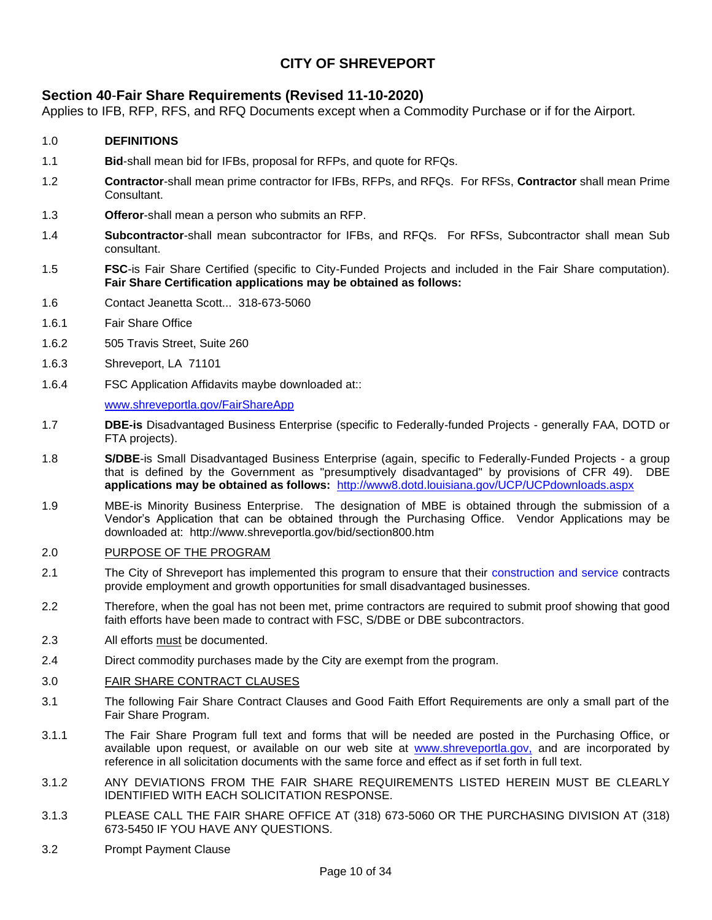# **CITY OF SHREVEPORT**

# **[Section 40](http://www.ci.shreveport.la.us/pdf/bids/sect40.pdf)**-**Fair Share Requirements (Revised 11-10-2020)**

Applies to IFB, RFP, RFS, and RFQ Documents except when a Commodity Purchase or if for the Airport.

# 1.0 **DEFINITIONS**

- 1.1 **Bid**-shall mean bid for IFBs, proposal for RFPs, and quote for RFQs.
- 1.2 **Contractor**-shall mean prime contractor for IFBs, RFPs, and RFQs. For RFSs, **Contractor** shall mean Prime **Consultant**
- 1.3 **Offeror**-shall mean a person who submits an RFP.
- 1.4 **Subcontractor**-shall mean subcontractor for IFBs, and RFQs. For RFSs, Subcontractor shall mean Sub consultant.
- 1.5 **FSC**-is Fair Share Certified (specific to City-Funded Projects and included in the Fair Share computation). **Fair Share Certification applications may be obtained as follows:**
- 1.6 Contact Jeanetta Scott... 318-673-5060
- 1.6.1 Fair Share Office
- 1.6.2 505 Travis Street, Suite 260
- 1.6.3 Shreveport, LA 71101
- 1.6.4 FSC Application Affidavits maybe downloaded at::

#### [www.shreveportla.gov/FairShareApp](http://www.shreveportla.gov/FairShareApp)

- 1.7 **DBE-is** Disadvantaged Business Enterprise (specific to Federally-funded Projects generally FAA, DOTD or FTA projects).
- 1.8 **S/DBE**-is Small Disadvantaged Business Enterprise (again, specific to Federally-Funded Projects a group that is defined by the Government as "presumptively disadvantaged" by provisions of CFR 49).DBE **applications may be obtained as follows:** <http://www8.dotd.louisiana.gov/UCP/UCPdownloads.aspx>
- 1.9 MBE-is Minority Business Enterprise. The designation of MBE is obtained through the submission of a Vendor's Application that can be obtained through the Purchasing Office. Vendor Applications may be downloaded at: http://www.shreveportla.gov/bid/section800.htm

#### 2.0 PURPOSE OF THE PROGRAM

- 2.1 The City of Shreveport has implemented this program to ensure that their construction and service contracts provide employment and growth opportunities for small disadvantaged businesses.
- 2.2 Therefore, when the goal has not been met, prime contractors are required to submit proof showing that good faith efforts have been made to contract with FSC, S/DBE or DBE subcontractors.
- 2.3 All efforts must be documented.
- 2.4 Direct commodity purchases made by the City are exempt from the program.

#### 3.0 FAIR SHARE CONTRACT CLAUSES

- 3.1 The following Fair Share Contract Clauses and Good Faith Effort Requirements are only a small part of the Fair Share Program.
- 3.1.1 The Fair Share Program full text and forms that will be needed are posted in the Purchasing Office, or available upon request, or available on our web site at www.shreveportla.gov, and are incorporated by reference in all solicitation documents with the same force and effect as if set forth in full text.
- 3.1.2 ANY DEVIATIONS FROM THE FAIR SHARE REQUIREMENTS LISTED HEREIN MUST BE CLEARLY IDENTIFIED WITH EACH SOLICITATION RESPONSE.
- 3.1.3 PLEASE CALL THE FAIR SHARE OFFICE AT (318) 673-5060 OR THE PURCHASING DIVISION AT (318) 673-5450 IF YOU HAVE ANY QUESTIONS.
- 3.2 Prompt Payment Clause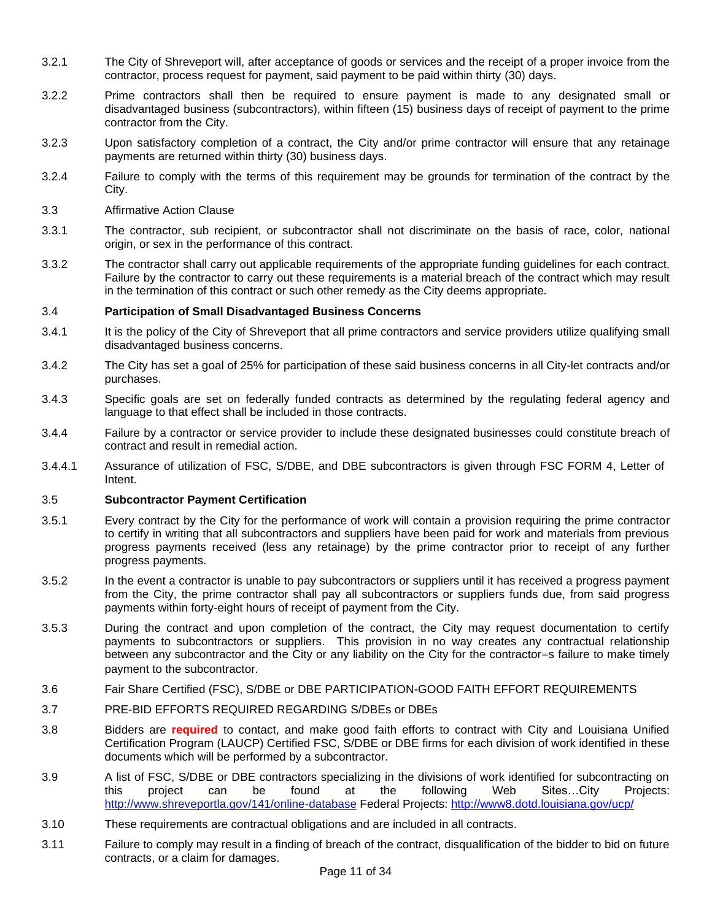- 3.2.1 The City of Shreveport will, after acceptance of goods or services and the receipt of a proper invoice from the contractor, process request for payment, said payment to be paid within thirty (30) days.
- 3.2.2 Prime contractors shall then be required to ensure payment is made to any designated small or disadvantaged business (subcontractors), within fifteen (15) business days of receipt of payment to the prime contractor from the City.
- 3.2.3 Upon satisfactory completion of a contract, the City and/or prime contractor will ensure that any retainage payments are returned within thirty (30) business days.
- 3.2.4 Failure to comply with the terms of this requirement may be grounds for termination of the contract by the City.
- 3.3 Affirmative Action Clause
- 3.3.1 The contractor, sub recipient, or subcontractor shall not discriminate on the basis of race, color, national origin, or sex in the performance of this contract.
- 3.3.2 The contractor shall carry out applicable requirements of the appropriate funding guidelines for each contract. Failure by the contractor to carry out these requirements is a material breach of the contract which may result in the termination of this contract or such other remedy as the City deems appropriate.

#### 3.4 **Participation of Small Disadvantaged Business Concerns**

- 3.4.1 It is the policy of the City of Shreveport that all prime contractors and service providers utilize qualifying small disadvantaged business concerns.
- 3.4.2 The City has set a goal of 25% for participation of these said business concerns in all City-let contracts and/or purchases.
- 3.4.3 Specific goals are set on federally funded contracts as determined by the regulating federal agency and language to that effect shall be included in those contracts.
- 3.4.4 Failure by a contractor or service provider to include these designated businesses could constitute breach of contract and result in remedial action.
- 3.4.4.1 Assurance of utilization of FSC, S/DBE, and DBE subcontractors is given through FSC FORM 4, Letter of Intent.

#### 3.5 **Subcontractor Payment Certification**

- 3.5.1 Every contract by the City for the performance of work will contain a provision requiring the prime contractor to certify in writing that all subcontractors and suppliers have been paid for work and materials from previous progress payments received (less any retainage) by the prime contractor prior to receipt of any further progress payments.
- 3.5.2 In the event a contractor is unable to pay subcontractors or suppliers until it has received a progress payment from the City, the prime contractor shall pay all subcontractors or suppliers funds due, from said progress payments within forty-eight hours of receipt of payment from the City.
- 3.5.3 During the contract and upon completion of the contract, the City may request documentation to certify payments to subcontractors or suppliers. This provision in no way creates any contractual relationship between any subcontractor and the City or any liability on the City for the contractor=s failure to make timely payment to the subcontractor.
- 3.6 Fair Share Certified (FSC), S/DBE or DBE PARTICIPATION-GOOD FAITH EFFORT REQUIREMENTS
- 3.7 PRE-BID EFFORTS REQUIRED REGARDING S/DBEs or DBEs
- 3.8 Bidders are **required** to contact, and make good faith efforts to contract with City and Louisiana Unified Certification Program (LAUCP) Certified FSC, S/DBE or DBE firms for each division of work identified in these documents which will be performed by a subcontractor.
- 3.9 A list of FSC, S/DBE or DBE contractors specializing in the divisions of work identified for subcontracting on this project can be found at the following Web Sites…City Projects: http://www.shreveportla.gov/141/online-database Federal Projects:<http://www8.dotd.louisiana.gov/ucp/>
- 3.10 These requirements are contractual obligations and are included in all contracts.
- 3.11 Failure to comply may result in a finding of breach of the contract, disqualification of the bidder to bid on future contracts, or a claim for damages.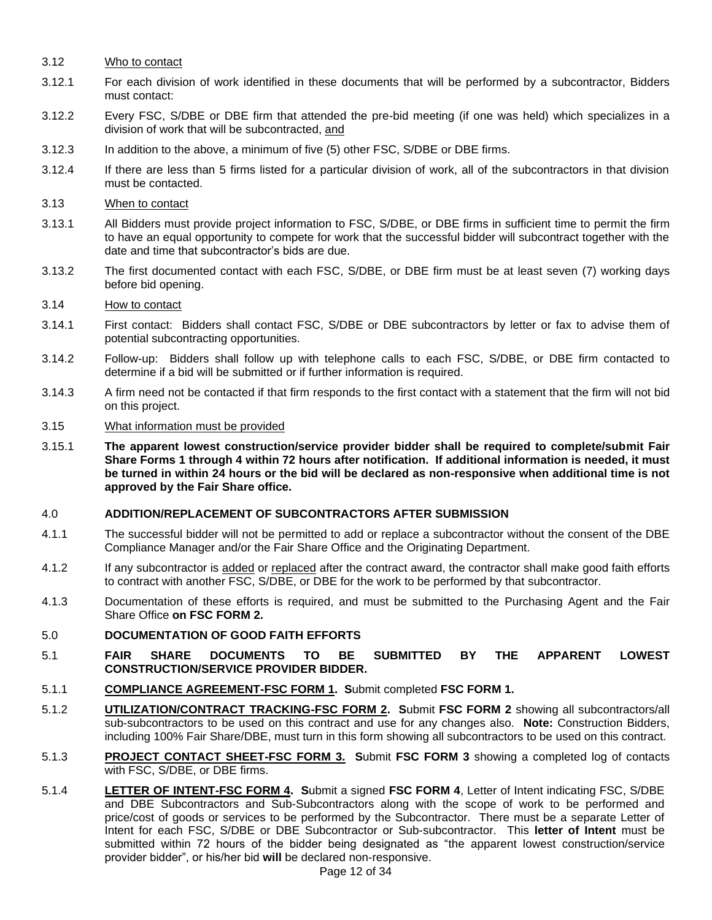- 3.12 Who to contact
- 3.12.1 For each division of work identified in these documents that will be performed by a subcontractor, Bidders must contact:
- 3.12.2 Every FSC, S/DBE or DBE firm that attended the pre-bid meeting (if one was held) which specializes in a division of work that will be subcontracted, and
- 3.12.3 In addition to the above, a minimum of five (5) other FSC, S/DBE or DBE firms.
- 3.12.4 If there are less than 5 firms listed for a particular division of work, all of the subcontractors in that division must be contacted.
- 3.13 When to contact
- 3.13.1 All Bidders must provide project information to FSC, S/DBE, or DBE firms in sufficient time to permit the firm to have an equal opportunity to compete for work that the successful bidder will subcontract together with the date and time that subcontractor's bids are due.
- 3.13.2 The first documented contact with each FSC, S/DBE, or DBE firm must be at least seven (7) working days before bid opening.
- 3.14 How to contact
- 3.14.1 First contact: Bidders shall contact FSC, S/DBE or DBE subcontractors by letter or fax to advise them of potential subcontracting opportunities.
- 3.14.2 Follow-up: Bidders shall follow up with telephone calls to each FSC, S/DBE, or DBE firm contacted to determine if a bid will be submitted or if further information is required.
- 3.14.3 A firm need not be contacted if that firm responds to the first contact with a statement that the firm will not bid on this project.
- 3.15 What information must be provided
- 3.15.1 **The apparent lowest construction/service provider bidder shall be required to complete/submit Fair Share Forms 1 through 4 within 72 hours after notification. If additional information is needed, it must be turned in within 24 hours or the bid will be declared as non-responsive when additional time is not approved by the Fair Share office.**

#### 4.0 **ADDITION/REPLACEMENT OF SUBCONTRACTORS AFTER SUBMISSION**

- 4.1.1 The successful bidder will not be permitted to add or replace a subcontractor without the consent of the DBE Compliance Manager and/or the Fair Share Office and the Originating Department.
- 4.1.2 If any subcontractor is added or replaced after the contract award, the contractor shall make good faith efforts to contract with another FSC, S/DBE, or DBE for the work to be performed by that subcontractor.
- 4.1.3 Documentation of these efforts is required, and must be submitted to the Purchasing Agent and the Fair Share Office **on FSC FORM 2.**
- 5.0 **DOCUMENTATION OF GOOD FAITH EFFORTS**
- 5.1 **FAIR SHARE DOCUMENTS TO BE SUBMITTED BY THE APPARENT LOWEST CONSTRUCTION/SERVICE PROVIDER BIDDER.**
- 5.1.1 **COMPLIANCE AGREEMENT-FSC FORM 1. S**ubmit completed **FSC FORM 1.**
- 5.1.2 **UTILIZATION/CONTRACT TRACKING-FSC FORM 2. S**ubmit **FSC FORM 2** showing all subcontractors/all sub-subcontractors to be used on this contract and use for any changes also. **Note:** Construction Bidders, including 100% Fair Share/DBE, must turn in this form showing all subcontractors to be used on this contract.
- 5.1.3 **PROJECT CONTACT SHEET-FSC FORM 3. S**ubmit **FSC FORM 3** showing a completed log of contacts with FSC, S/DBE, or DBE firms.
- 5.1.4 **LETTER OF INTENT-FSC FORM 4. S**ubmit a signed **FSC FORM 4**, Letter of Intent indicating FSC, S/DBE and DBE Subcontractors and Sub-Subcontractors along with the scope of work to be performed and price/cost of goods or services to be performed by the Subcontractor. There must be a separate Letter of Intent for each FSC, S/DBE or DBE Subcontractor or Sub-subcontractor. This **letter of Intent** must be submitted within 72 hours of the bidder being designated as "the apparent lowest construction/service provider bidder", or his/her bid **will** be declared non-responsive.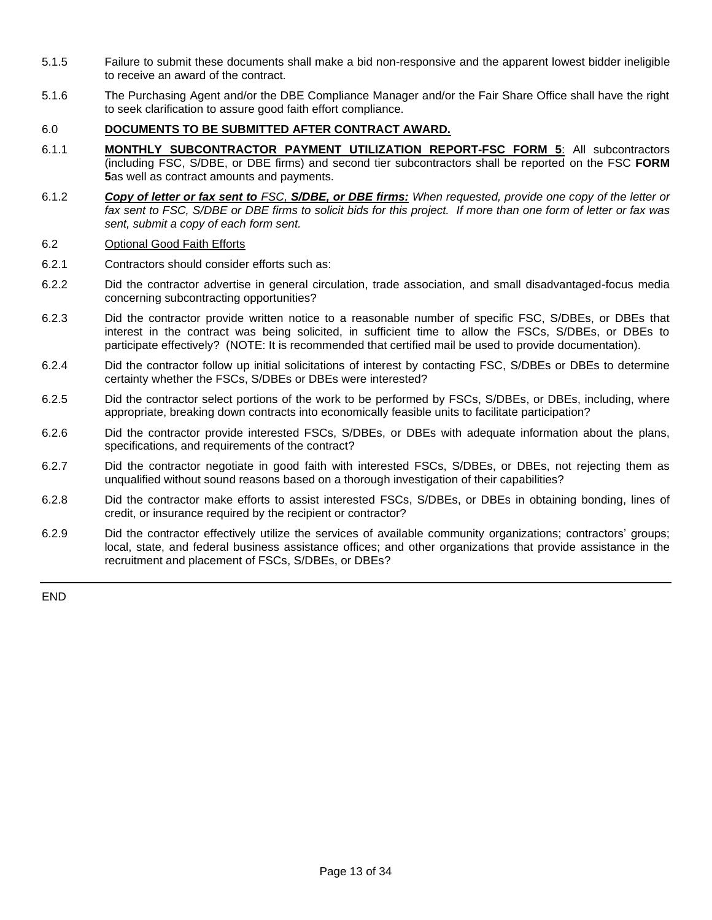- 5.1.5 Failure to submit these documents shall make a bid non-responsive and the apparent lowest bidder ineligible to receive an award of the contract.
- 5.1.6 The Purchasing Agent and/or the DBE Compliance Manager and/or the Fair Share Office shall have the right to seek clarification to assure good faith effort compliance.

#### 6.0 **DOCUMENTS TO BE SUBMITTED AFTER CONTRACT AWARD.**

- 6.1.1 **MONTHLY SUBCONTRACTOR PAYMENT UTILIZATION REPORT-FSC FORM 5**: All subcontractors (including FSC, S/DBE, or DBE firms) and second tier subcontractors shall be reported on the FSC **FORM 5**as well as contract amounts and payments.
- 6.1.2 *Copy of letter or fax sent to FSC, S/DBE, or DBE firms: When requested, provide one copy of the letter or*  fax sent to FSC, S/DBE or DBE firms to solicit bids for this project. If more than one form of letter or fax was *sent, submit a copy of each form sent.*

#### 6.2 Optional Good Faith Efforts

- 6.2.1 Contractors should consider efforts such as:
- 6.2.2 Did the contractor advertise in general circulation, trade association, and small disadvantaged-focus media concerning subcontracting opportunities?
- 6.2.3 Did the contractor provide written notice to a reasonable number of specific FSC, S/DBEs, or DBEs that interest in the contract was being solicited, in sufficient time to allow the FSCs, S/DBEs, or DBEs to participate effectively? (NOTE: It is recommended that certified mail be used to provide documentation).
- 6.2.4 Did the contractor follow up initial solicitations of interest by contacting FSC, S/DBEs or DBEs to determine certainty whether the FSCs, S/DBEs or DBEs were interested?
- 6.2.5 Did the contractor select portions of the work to be performed by FSCs, S/DBEs, or DBEs, including, where appropriate, breaking down contracts into economically feasible units to facilitate participation?
- 6.2.6 Did the contractor provide interested FSCs, S/DBEs, or DBEs with adequate information about the plans, specifications, and requirements of the contract?
- 6.2.7 Did the contractor negotiate in good faith with interested FSCs, S/DBEs, or DBEs, not rejecting them as unqualified without sound reasons based on a thorough investigation of their capabilities?
- 6.2.8 Did the contractor make efforts to assist interested FSCs, S/DBEs, or DBEs in obtaining bonding, lines of credit, or insurance required by the recipient or contractor?
- 6.2.9 Did the contractor effectively utilize the services of available community organizations; contractors' groups; local, state, and federal business assistance offices; and other organizations that provide assistance in the recruitment and placement of FSCs, S/DBEs, or DBEs?

END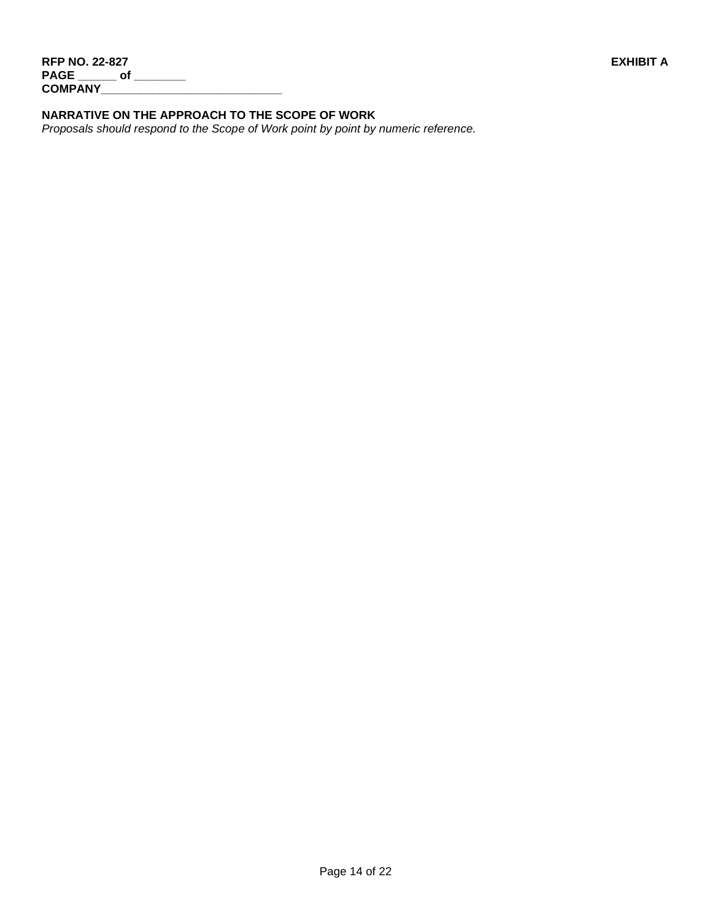# **NARRATIVE ON THE APPROACH TO THE SCOPE OF WORK**

*Proposals should respond to the Scope of Work point by point by numeric reference.*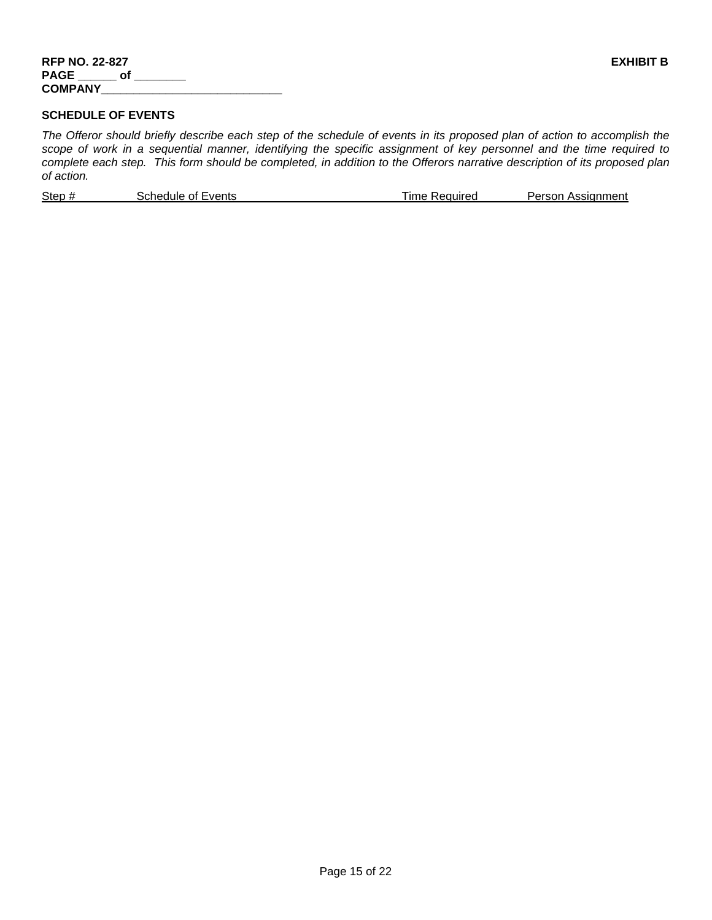# **SCHEDULE OF EVENTS**

*The Offeror should briefly describe each step of the schedule of events in its proposed plan of action to accomplish the scope of work in a sequential manner, identifying the specific assignment of key personnel and the time required to complete each step. This form should be completed, in addition to the Offerors narrative description of its proposed plan of action.*

|  | Step #<br>Schedule of Events<br>lme Required | Person Assignment |
|--|----------------------------------------------|-------------------|
|--|----------------------------------------------|-------------------|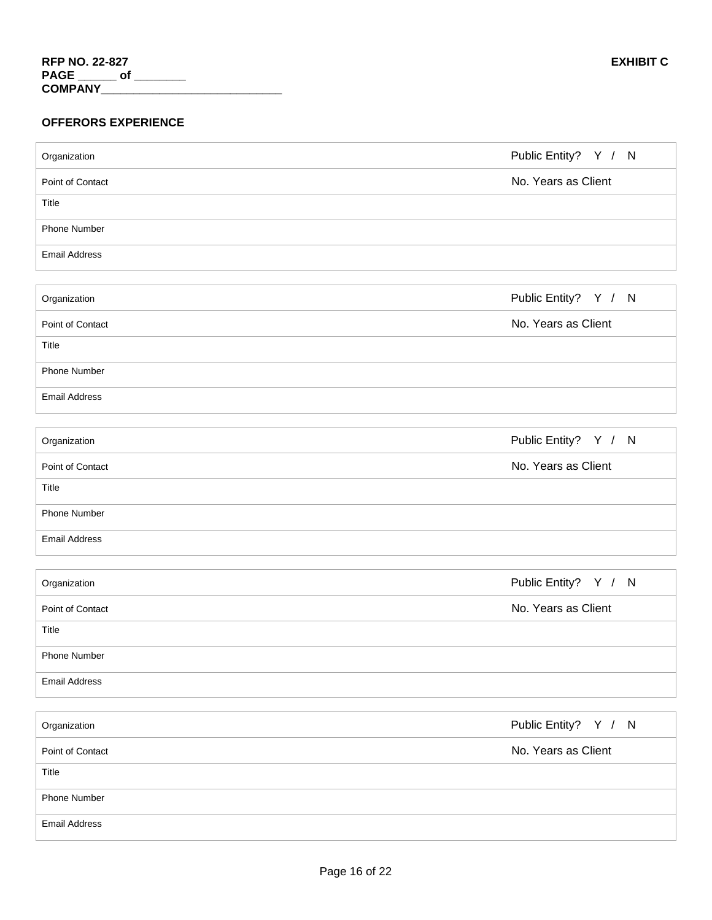# **OFFERORS EXPERIENCE**

| Organization         | Public Entity? Y / N |
|----------------------|----------------------|
| Point of Contact     | No. Years as Client  |
| Title                |                      |
| Phone Number         |                      |
| <b>Email Address</b> |                      |
|                      |                      |
| Organization         | Public Entity? Y / N |
| Point of Contact     | No. Years as Client  |
| Title                |                      |
| <b>Phone Number</b>  |                      |
| <b>Email Address</b> |                      |
|                      |                      |
| Organization         | Public Entity? Y / N |
| Point of Contact     | No. Years as Client  |
| Title                |                      |
| Phone Number         |                      |
| <b>Email Address</b> |                      |
|                      |                      |
| Organization         | Public Entity? Y / N |
| Point of Contact     | No. Years as Client  |
| Title                |                      |
| <b>Phone Number</b>  |                      |
| <b>Email Address</b> |                      |
|                      |                      |
| Organization         | Public Entity? Y / N |
| Point of Contact     | No. Years as Client  |
| Title                |                      |
| Phone Number         |                      |
| <b>Email Address</b> |                      |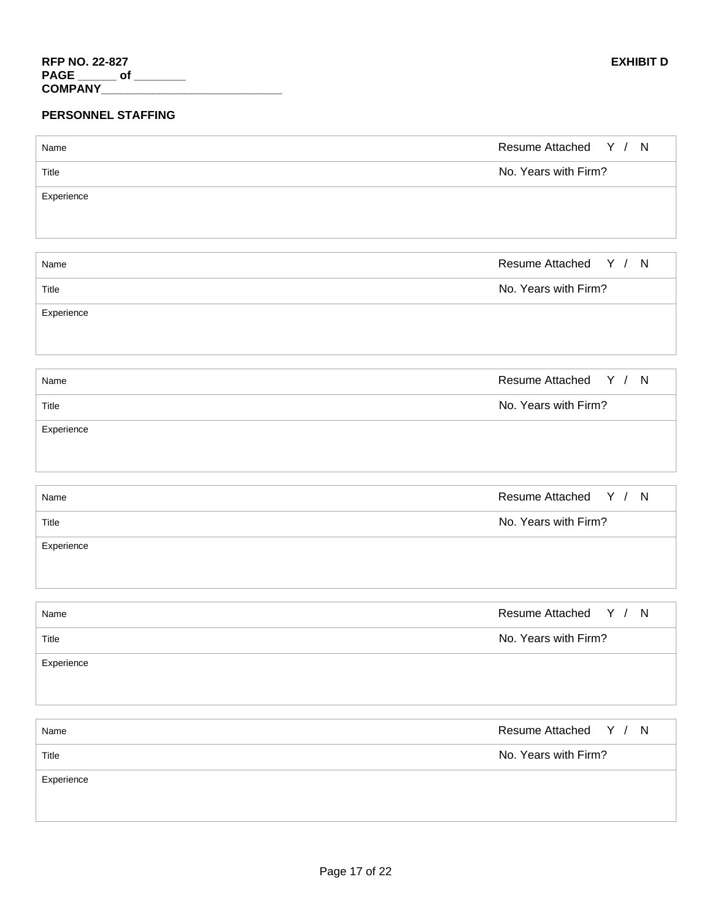# **PERSONNEL STAFFING**

| Name       | Resume Attached Y / N    |
|------------|--------------------------|
| Title      | No. Years with Firm?     |
| Experience |                          |
|            |                          |
|            |                          |
| Name       | Resume Attached Y / N    |
| Title      | No. Years with Firm?     |
| Experience |                          |
|            |                          |
|            |                          |
| Name       | Resume Attached Y / N    |
| Title      | No. Years with Firm?     |
| Experience |                          |
|            |                          |
|            |                          |
| Name       | Resume Attached Y / N    |
| Title      | No. Years with Firm?     |
| Experience |                          |
|            |                          |
|            |                          |
| Name       | Resume Attached Y / N    |
| Title      | No. Years with Firm?     |
| Experience |                          |
|            |                          |
| Name       | Y / N<br>Resume Attached |
|            |                          |
| Title      | No. Years with Firm?     |
| Experience |                          |
|            |                          |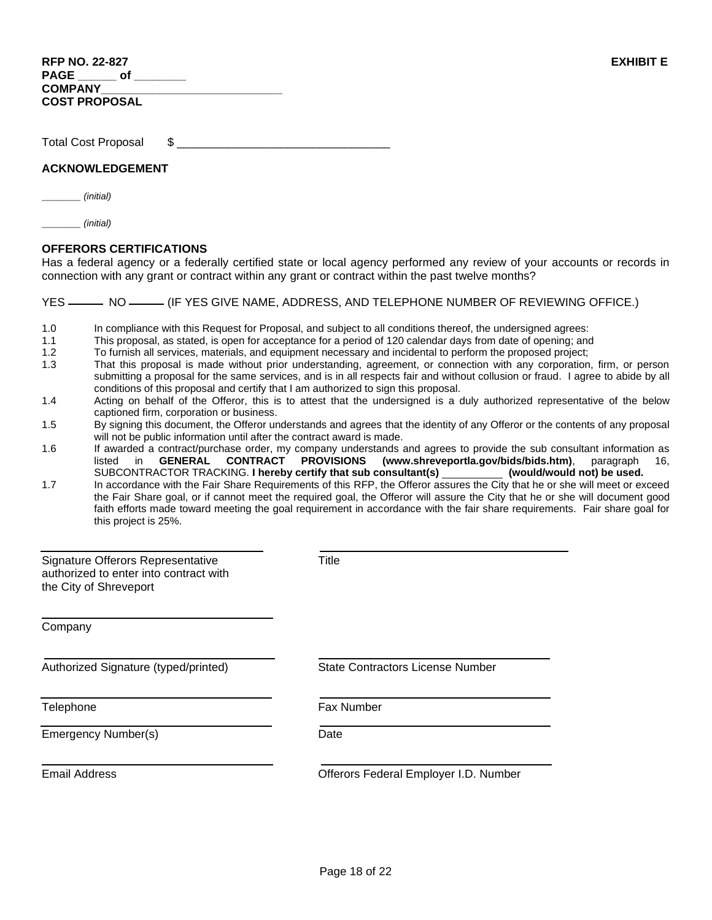| <b>RFP NO. 22-827</b> | <b>EXHIBIT E</b> |
|-----------------------|------------------|
| PAGE of               |                  |
| <b>COMPANY</b>        |                  |
| <b>COST PROPOSAL</b>  |                  |

Total Cost Proposal \$

#### **ACKNOWLEDGEMENT**

**\_\_\_\_\_\_** *(initial)*

**\_\_\_\_\_\_** *(initial)*

#### **OFFERORS CERTIFICATIONS**

Has a federal agency or a federally certified state or local agency performed any review of your accounts or records in connection with any grant or contract within any grant or contract within the past twelve months?

YES ——— NO —— (IF YES GIVE NAME, ADDRESS, AND TELEPHONE NUMBER OF REVIEWING OFFICE.)

- 1.0 In compliance with this Request for Proposal, and subject to all conditions thereof, the undersigned agrees:
- 1.1 This proposal, as stated, is open for acceptance for a period of 120 calendar days from date of opening; and
- 1.2 To furnish all services, materials, and equipment necessary and incidental to perform the proposed project;
- 1.3 That this proposal is made without prior understanding, agreement, or connection with any corporation, firm, or person submitting a proposal for the same services, and is in all respects fair and without collusion or fraud. I agree to abide by all conditions of this proposal and certify that I am authorized to sign this proposal.
- 1.4 Acting on behalf of the Offeror, this is to attest that the undersigned is a duly authorized representative of the below captioned firm, corporation or business.
- 1.5 By signing this document, the Offeror understands and agrees that the identity of any Offeror or the contents of any proposal will not be public information until after the contract award is made.
- 1.6 If awarded a contract/purchase order, my company understands and agrees to provide the sub consultant information as<br>Iisted in GENERAL CONTRACT PROVISIONS (www.shreveportla.gov/bids/bids.htm), paragraph 16, listed in **GENERAL CONTRACT PROVISIONS (www.shreveportla.gov/bids/bids.htm)**, paragraph 16, SUBCONTRACTOR TRACKING. **I hereby certify that sub consultant(s) (would/would not) be used.**

1.7 In accordance with the Fair Share Requirements of this RFP, the Offeror assures the City that he or she will meet or exceed the Fair Share goal, or if cannot meet the required goal, the Offeror will assure the City that he or she will document good faith efforts made toward meeting the goal requirement in accordance with the fair share requirements. Fair share goal for this project is 25%.

| Signature Offerors Representative<br>authorized to enter into contract with<br>the City of Shreveport | Title                                   |
|-------------------------------------------------------------------------------------------------------|-----------------------------------------|
| Company                                                                                               |                                         |
| Authorized Signature (typed/printed)                                                                  | <b>State Contractors License Number</b> |
| Telephone                                                                                             | <b>Fax Number</b>                       |
| Emergency Number(s)                                                                                   | Date                                    |
| <b>Email Address</b>                                                                                  | Offerors Federal Employer I.D. Number   |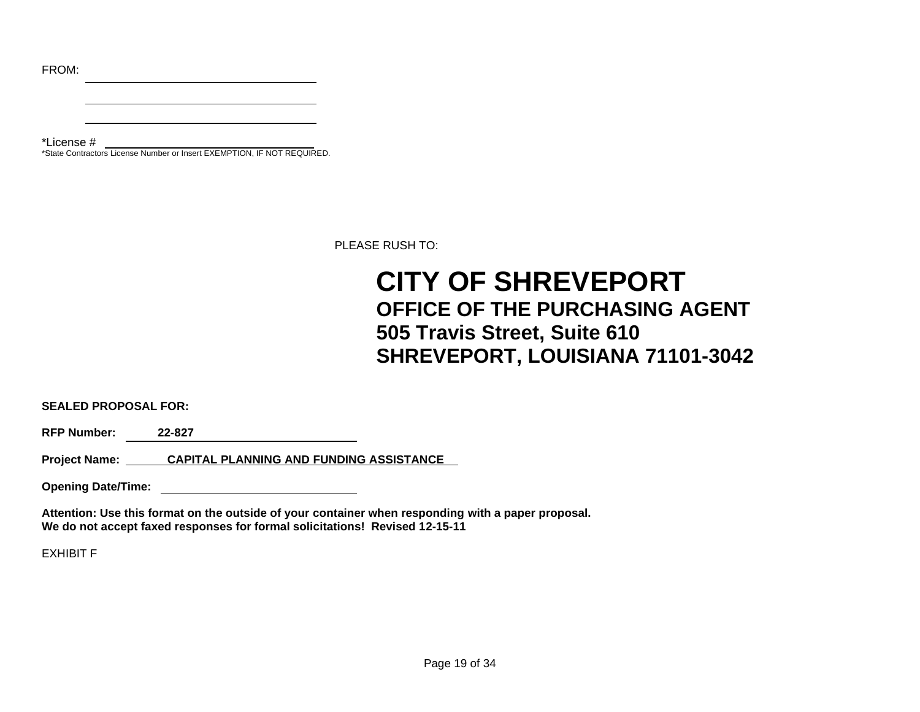FROM:

\*License # \*State Contractors License Number or Insert EXEMPTION, IF NOT REQUIRED.

PLEASE RUSH TO:

# **CITY OF SHREVEPORT OFFICE OF THE PURCHASING AGENT 505 Travis Street, Suite 610 SHREVEPORT, LOUISIANA 71101-3042**

**SEALED PROPOSAL FOR:**

**RFP Number: 22-827** 

**Project Name: CAPITAL PLANNING AND FUNDING ASSISTANCE**

**Opening Date/Time:** 

**Attention: Use this format on the outside of your container when responding with a paper proposal. We do not accept faxed responses for formal solicitations! Revised 12-15-11**

EXHIBIT F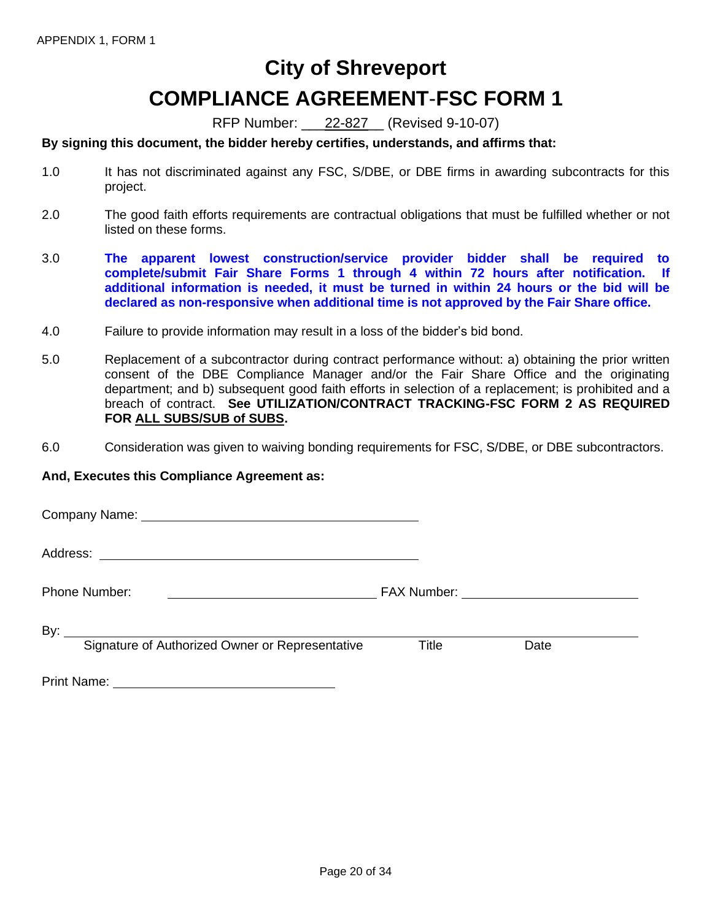# **City of Shreveport COMPLIANCE AGREEMENT**-**FSC FORM 1**

RFP Number: \_\_\_22-827\_\_ (Revised 9-10-07)

# **By signing this document, the bidder hereby certifies, understands, and affirms that:**

- 1.0 It has not discriminated against any FSC, S/DBE, or DBE firms in awarding subcontracts for this project.
- 2.0 The good faith efforts requirements are contractual obligations that must be fulfilled whether or not listed on these forms.
- 3.0 **The apparent lowest construction/service provider bidder shall be required to complete/submit Fair Share Forms 1 through 4 within 72 hours after notification. If additional information is needed, it must be turned in within 24 hours or the bid will be declared as non-responsive when additional time is not approved by the Fair Share office.**
- 4.0 Failure to provide information may result in a loss of the bidder's bid bond.
- 5.0 Replacement of a subcontractor during contract performance without: a) obtaining the prior written consent of the DBE Compliance Manager and/or the Fair Share Office and the originating department; and b) subsequent good faith efforts in selection of a replacement; is prohibited and a breach of contract. **See UTILIZATION/CONTRACT TRACKING-FSC FORM 2 AS REQUIRED FOR ALL SUBS/SUB of SUBS.**
- 6.0 Consideration was given to waiving bonding requirements for FSC, S/DBE, or DBE subcontractors.

### **And, Executes this Compliance Agreement as:**

Company Name:

Address:

Phone Number: FAX Number:

By:  $\overline{\phantom{0}}$ 

Signature of Authorized Owner or Representative Title Date

Print Name: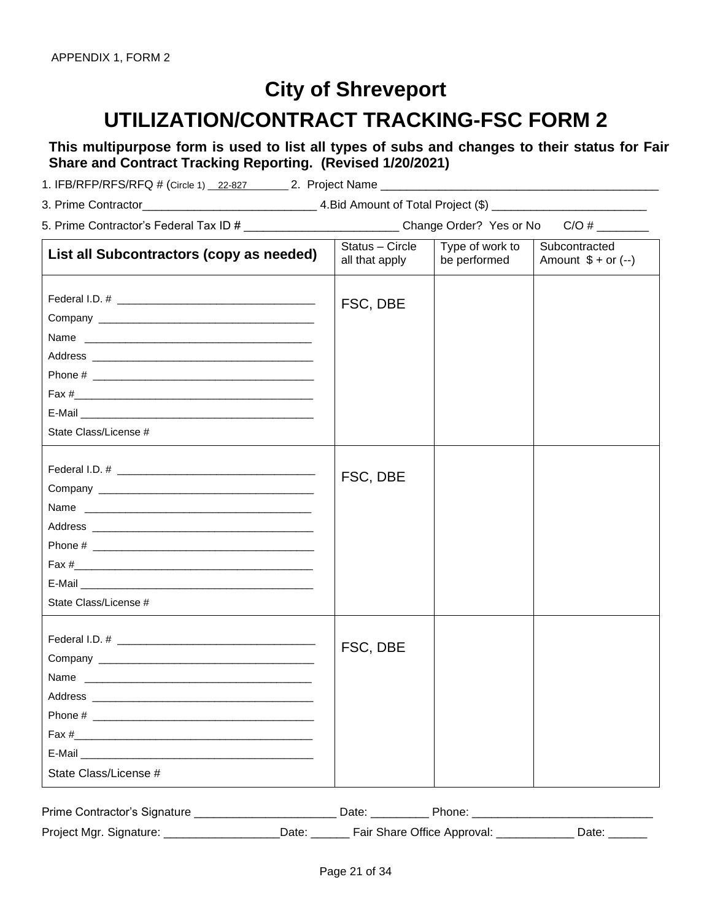# **City of Shreveport UTILIZATION/CONTRACT TRACKING-FSC FORM 2**

**This multipurpose form is used to list all types of subs and changes to their status for Fair Share and Contract Tracking Reporting. (Revised 1/20/2021)**

1. IFB/RFP/RFS/RFQ # (Circle 1) \_22-827 \_\_\_\_\_\_\_ 2. Project Name \_\_\_\_

3. Prime Contractor\_\_\_\_\_\_\_\_\_\_\_\_\_\_\_\_\_\_\_\_\_\_\_\_\_\_\_ 4.Bid Amount of Total Project (\$) \_\_\_\_\_\_\_\_\_\_\_\_\_\_\_\_\_\_\_\_\_\_\_\_

| 5. Prime Contractor's Federal Tax ID # | Change Order? Yes or No C/O # |  |
|----------------------------------------|-------------------------------|--|
|                                        |                               |  |

| List all Subcontractors (copy as needed)   | Status - Circle<br>all that apply | Type of work to<br>be performed | Subcontracted<br>Amount $$ + or (-)$ |
|--------------------------------------------|-----------------------------------|---------------------------------|--------------------------------------|
| Name<br>State Class/License #              | FSC, DBE                          |                                 |                                      |
| Name<br>State Class/License #              | FSC, DBE                          |                                 |                                      |
| Fax $\frac{4}{2}$<br>State Class/License # | FSC, DBE                          |                                 |                                      |

| Prime Contractor's Signature |       | Date:                       | Phone: |       |
|------------------------------|-------|-----------------------------|--------|-------|
| Project Mgr. Signature:      | Date: | Fair Share Office Approval: |        | Date. |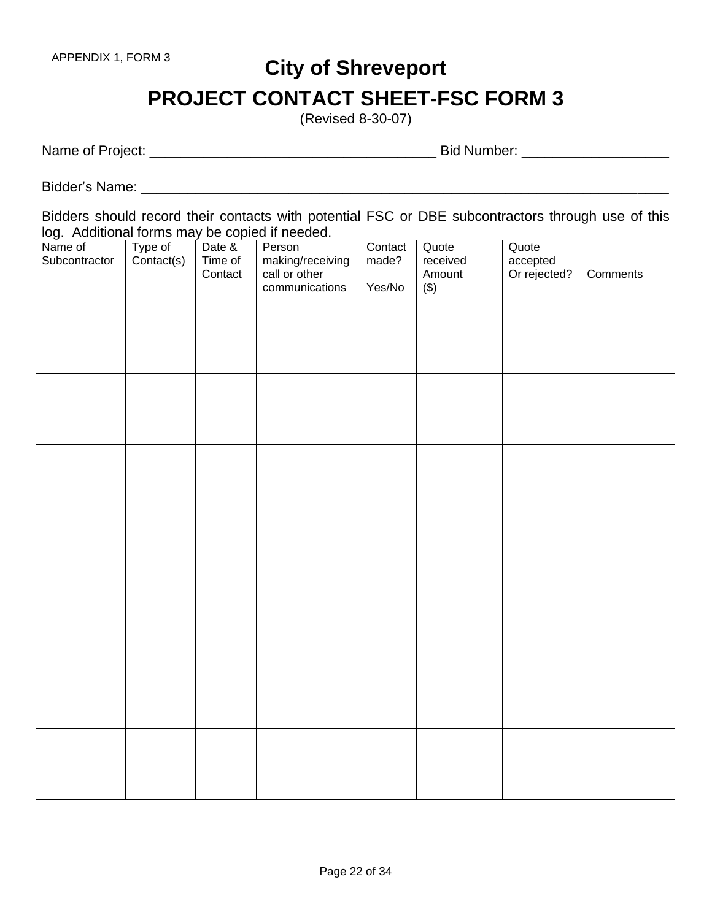# **City of Shreveport PROJECT CONTACT SHEET-FSC FORM 3**

(Revised 8-30-07)

Name of Project: \_\_\_\_\_\_\_\_\_\_\_\_\_\_\_\_\_\_\_\_\_\_\_\_\_\_\_\_\_\_\_\_\_\_\_\_\_ Bid Number: \_\_\_\_\_\_\_\_\_\_\_\_\_\_\_\_\_\_\_

Bidder's Name: \_\_\_\_\_\_\_\_\_\_\_\_\_\_\_\_\_\_\_\_\_\_\_\_\_\_\_\_\_\_\_\_\_\_\_\_\_\_\_\_\_\_\_\_\_\_\_\_\_\_\_\_\_\_\_\_\_\_\_\_\_\_\_\_\_\_\_\_

Bidders should record their contacts with potential FSC or DBE subcontractors through use of this log. Additional forms may be copied if needed.

| Name of<br>Subcontractor | Type of<br>Contact(s) | Date &<br>Time of<br>Contact | Person<br>making/receiving<br>call or other<br>communications | Contact<br>made?<br>Yes/No | Quote<br>received<br>Amount<br>$(\$)$ | Quote<br>accepted<br>Or rejected? | Comments |
|--------------------------|-----------------------|------------------------------|---------------------------------------------------------------|----------------------------|---------------------------------------|-----------------------------------|----------|
|                          |                       |                              |                                                               |                            |                                       |                                   |          |
|                          |                       |                              |                                                               |                            |                                       |                                   |          |
|                          |                       |                              |                                                               |                            |                                       |                                   |          |
|                          |                       |                              |                                                               |                            |                                       |                                   |          |
|                          |                       |                              |                                                               |                            |                                       |                                   |          |
|                          |                       |                              |                                                               |                            |                                       |                                   |          |
|                          |                       |                              |                                                               |                            |                                       |                                   |          |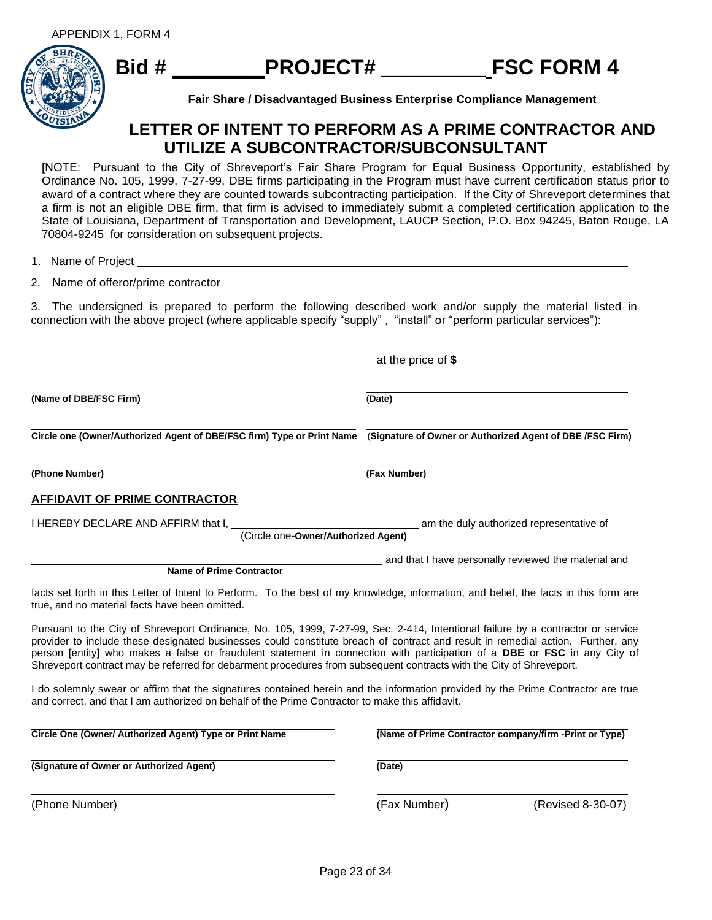

**Fair Share / Disadvantaged Business Enterprise Compliance Management**

# **LETTER OF INTENT TO PERFORM AS A PRIME CONTRACTOR AND UTILIZE A SUBCONTRACTOR/SUBCONSULTANT**

[NOTE: Pursuant to the City of Shreveport's Fair Share Program for Equal Business Opportunity, established by Ordinance No. 105, 1999, 7-27-99, DBE firms participating in the Program must have current certification status prior to award of a contract where they are counted towards subcontracting participation. If the City of Shreveport determines that a firm is not an eligible DBE firm, that firm is advised to immediately submit a completed certification application to the State of Louisiana, Department of Transportation and Development, LAUCP Section, P.O. Box 94245, Baton Rouge, LA 70804-9245 for consideration on subsequent projects.

1. Name of Project

2. Name of offeror/prime contractor

3. The undersigned is prepared to perform the following described work and/or supply the material listed in connection with the above project (where applicable specify "supply" , "install" or "perform particular services"):

|                                                                                                                                                                                                                                                                                                                                                                                                                                                                                                                         | at the price of $\$_$                                  |  |  |  |
|-------------------------------------------------------------------------------------------------------------------------------------------------------------------------------------------------------------------------------------------------------------------------------------------------------------------------------------------------------------------------------------------------------------------------------------------------------------------------------------------------------------------------|--------------------------------------------------------|--|--|--|
| (Name of DBE/FSC Firm)                                                                                                                                                                                                                                                                                                                                                                                                                                                                                                  | (Date)                                                 |  |  |  |
| Circle one (Owner/Authorized Agent of DBE/FSC firm) Type or Print Name (Signature of Owner or Authorized Agent of DBE /FSC Firm)                                                                                                                                                                                                                                                                                                                                                                                        |                                                        |  |  |  |
| (Phone Number)                                                                                                                                                                                                                                                                                                                                                                                                                                                                                                          | (Fax Number)                                           |  |  |  |
| <b>AFFIDAVIT OF PRIME CONTRACTOR</b>                                                                                                                                                                                                                                                                                                                                                                                                                                                                                    |                                                        |  |  |  |
| I HEREBY DECLARE AND AFFIRM that I,<br>(Circle one-Owner/Authorized Agent)                                                                                                                                                                                                                                                                                                                                                                                                                                              | am the duly authorized representative of               |  |  |  |
| <b>Name of Prime Contractor</b>                                                                                                                                                                                                                                                                                                                                                                                                                                                                                         | and that I have personally reviewed the material and   |  |  |  |
| facts set forth in this Letter of Intent to Perform. To the best of my knowledge, information, and belief, the facts in this form are<br>true, and no material facts have been omitted.                                                                                                                                                                                                                                                                                                                                 |                                                        |  |  |  |
| Pursuant to the City of Shreveport Ordinance, No. 105, 1999, 7-27-99, Sec. 2-414, Intentional failure by a contractor or service<br>provider to include these designated businesses could constitute breach of contract and result in remedial action. Further, any<br>person [entity] who makes a false or fraudulent statement in connection with participation of a DBE or FSC in any City of<br>Shreveport contract may be referred for debarment procedures from subsequent contracts with the City of Shreveport. |                                                        |  |  |  |
| I do solemnly swear or affirm that the signatures contained herein and the information provided by the Prime Contractor are true<br>and correct, and that I am authorized on behalf of the Prime Contractor to make this affidavit.                                                                                                                                                                                                                                                                                     |                                                        |  |  |  |
| Circle One (Owner/ Authorized Agent) Type or Print Name                                                                                                                                                                                                                                                                                                                                                                                                                                                                 | (Name of Prime Contractor company/firm -Print or Type) |  |  |  |
| (Signature of Owner or Authorized Agent)                                                                                                                                                                                                                                                                                                                                                                                                                                                                                | (Date)                                                 |  |  |  |
| (Phone Number)                                                                                                                                                                                                                                                                                                                                                                                                                                                                                                          | (Fax Number)<br>(Revised 8-30-07)                      |  |  |  |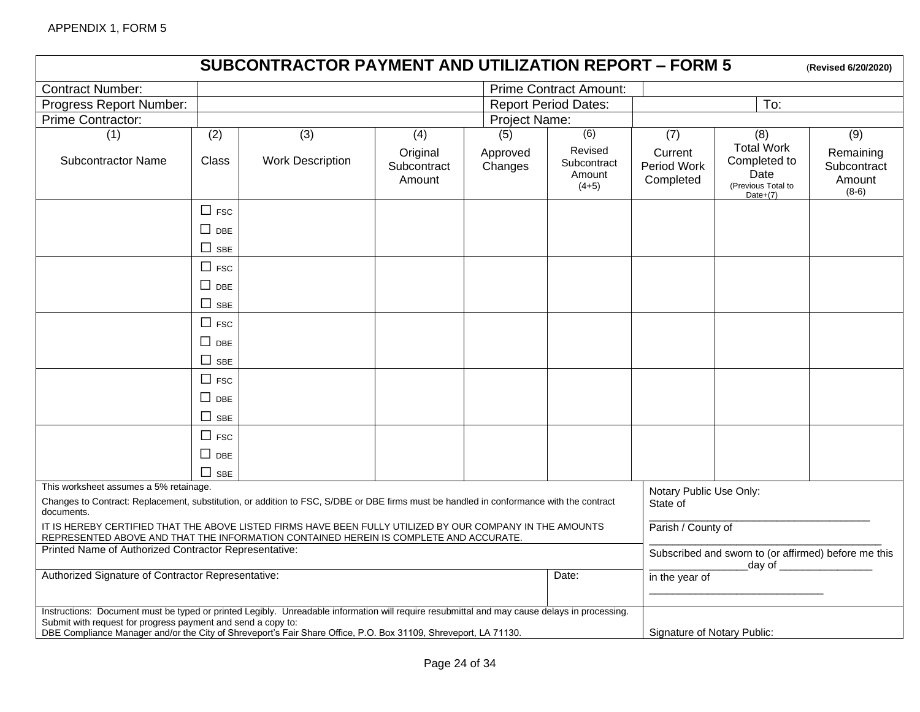|                                                                                                                                                                                                                                                                                                                                                                |                                                  | <b>SUBCONTRACTOR PAYMENT AND UTILIZATION REPORT - FORM 5</b> |                                   |                     |                                             |                                     |                                                                                | (Revised 6/20/2020)                           |
|----------------------------------------------------------------------------------------------------------------------------------------------------------------------------------------------------------------------------------------------------------------------------------------------------------------------------------------------------------------|--------------------------------------------------|--------------------------------------------------------------|-----------------------------------|---------------------|---------------------------------------------|-------------------------------------|--------------------------------------------------------------------------------|-----------------------------------------------|
| <b>Contract Number:</b>                                                                                                                                                                                                                                                                                                                                        |                                                  |                                                              |                                   |                     | <b>Prime Contract Amount:</b>               |                                     |                                                                                |                                               |
| Progress Report Number:                                                                                                                                                                                                                                                                                                                                        |                                                  |                                                              |                                   |                     | <b>Report Period Dates:</b>                 |                                     | To:                                                                            |                                               |
| Prime Contractor:                                                                                                                                                                                                                                                                                                                                              | Project Name:                                    |                                                              |                                   |                     |                                             |                                     |                                                                                |                                               |
| (1)                                                                                                                                                                                                                                                                                                                                                            | (2)                                              | (3)                                                          | (4)                               | (5)                 | (6)                                         | (7)                                 | (8)                                                                            | (9)                                           |
| <b>Subcontractor Name</b>                                                                                                                                                                                                                                                                                                                                      | <b>Class</b>                                     | <b>Work Description</b>                                      | Original<br>Subcontract<br>Amount | Approved<br>Changes | Revised<br>Subcontract<br>Amount<br>$(4+5)$ | Current<br>Period Work<br>Completed | <b>Total Work</b><br>Completed to<br>Date<br>(Previous Total to<br>Date $+(7)$ | Remaining<br>Subcontract<br>Amount<br>$(8-6)$ |
|                                                                                                                                                                                                                                                                                                                                                                | $\Box$ FSC<br>$\Box$ DBE<br>$\Box$<br><b>SBE</b> |                                                              |                                   |                     |                                             |                                     |                                                                                |                                               |
|                                                                                                                                                                                                                                                                                                                                                                | $\Box$ FSC<br>$\Box$ DBE                         |                                                              |                                   |                     |                                             |                                     |                                                                                |                                               |
|                                                                                                                                                                                                                                                                                                                                                                | $\Box$<br><b>SBE</b>                             |                                                              |                                   |                     |                                             |                                     |                                                                                |                                               |
|                                                                                                                                                                                                                                                                                                                                                                | $\Box$ FSC                                       |                                                              |                                   |                     |                                             |                                     |                                                                                |                                               |
|                                                                                                                                                                                                                                                                                                                                                                | $\Box$ DBE                                       |                                                              |                                   |                     |                                             |                                     |                                                                                |                                               |
|                                                                                                                                                                                                                                                                                                                                                                | П<br><b>SBE</b>                                  |                                                              |                                   |                     |                                             |                                     |                                                                                |                                               |
|                                                                                                                                                                                                                                                                                                                                                                | $\Box$ FSC<br>$\Box$ DBE                         |                                                              |                                   |                     |                                             |                                     |                                                                                |                                               |
|                                                                                                                                                                                                                                                                                                                                                                | $\Box$ SBE                                       |                                                              |                                   |                     |                                             |                                     |                                                                                |                                               |
|                                                                                                                                                                                                                                                                                                                                                                | $\Box$ FSC                                       |                                                              |                                   |                     |                                             |                                     |                                                                                |                                               |
|                                                                                                                                                                                                                                                                                                                                                                | $\square$ DBE                                    |                                                              |                                   |                     |                                             |                                     |                                                                                |                                               |
|                                                                                                                                                                                                                                                                                                                                                                | П<br><b>SBE</b>                                  |                                                              |                                   |                     |                                             |                                     |                                                                                |                                               |
| This worksheet assumes a 5% retainage.<br>Notary Public Use Only:<br>Changes to Contract: Replacement, substitution, or addition to FSC, S/DBE or DBE firms must be handled in conformance with the contract<br>State of<br>documents.                                                                                                                         |                                                  |                                                              |                                   |                     |                                             |                                     |                                                                                |                                               |
| IT IS HEREBY CERTIFIED THAT THE ABOVE LISTED FIRMS HAVE BEEN FULLY UTILIZED BY OUR COMPANY IN THE AMOUNTS<br>Parish / County of<br>REPRESENTED ABOVE AND THAT THE INFORMATION CONTAINED HEREIN IS COMPLETE AND ACCURATE.                                                                                                                                       |                                                  |                                                              |                                   |                     |                                             |                                     |                                                                                |                                               |
| Printed Name of Authorized Contractor Representative:<br>Subscribed and sworn to (or affirmed) before me this<br>day of $\sqrt{2}$                                                                                                                                                                                                                             |                                                  |                                                              |                                   |                     |                                             |                                     |                                                                                |                                               |
| Authorized Signature of Contractor Representative:                                                                                                                                                                                                                                                                                                             |                                                  |                                                              |                                   | Date:               | in the year of                              |                                     |                                                                                |                                               |
| Instructions: Document must be typed or printed Legibly. Unreadable information will require resubmittal and may cause delays in processing.<br>Submit with request for progress payment and send a copy to:<br>Signature of Notary Public:<br>DBE Compliance Manager and/or the City of Shreveport's Fair Share Office, P.O. Box 31109, Shreveport, LA 71130. |                                                  |                                                              |                                   |                     |                                             |                                     |                                                                                |                                               |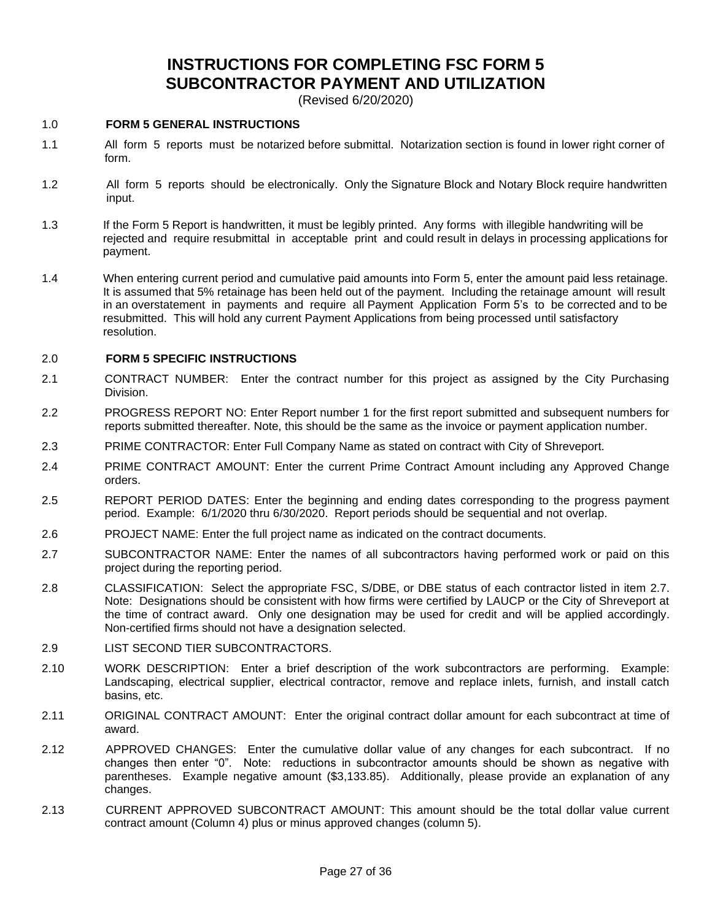# **INSTRUCTIONS FOR COMPLETING FSC FORM 5 SUBCONTRACTOR PAYMENT AND UTILIZATION**

(Revised 6/20/2020)

#### 1.0 **FORM 5 GENERAL INSTRUCTIONS**

- 1.1 All form 5 reports must be notarized before submittal. Notarization section is found in lower right corner of form.
- 1.2 All form 5 reports should be electronically. Only the Signature Block and Notary Block require handwritten input.
- 1.3 If the Form 5 Report is handwritten, it must be legibly printed. Any forms with illegible handwriting will be rejected and require resubmittal in acceptable print and could result in delays in processing applications for payment.
- 1.4 When entering current period and cumulative paid amounts into Form 5, enter the amount paid less retainage. It is assumed that 5% retainage has been held out of the payment. Including the retainage amount will result in an overstatement in payments and require all Payment Application Form 5's to be corrected and to be resubmitted. This will hold any current Payment Applications from being processed until satisfactory resolution.

#### 2.0 **FORM 5 SPECIFIC INSTRUCTIONS**

- 2.1 CONTRACT NUMBER: Enter the contract number for this project as assigned by the City Purchasing Division.
- 2.2 PROGRESS REPORT NO: Enter Report number 1 for the first report submitted and subsequent numbers for reports submitted thereafter. Note, this should be the same as the invoice or payment application number.
- 2.3 PRIME CONTRACTOR: Enter Full Company Name as stated on contract with City of Shreveport.
- 2.4 PRIME CONTRACT AMOUNT: Enter the current Prime Contract Amount including any Approved Change orders.
- 2.5 REPORT PERIOD DATES: Enter the beginning and ending dates corresponding to the progress payment period. Example: 6/1/2020 thru 6/30/2020. Report periods should be sequential and not overlap.
- 2.6 PROJECT NAME: Enter the full project name as indicated on the contract documents.
- 2.7 SUBCONTRACTOR NAME: Enter the names of all subcontractors having performed work or paid on this project during the reporting period.
- 2.8 CLASSIFICATION: Select the appropriate FSC, S/DBE, or DBE status of each contractor listed in item 2.7. Note: Designations should be consistent with how firms were certified by LAUCP or the City of Shreveport at the time of contract award. Only one designation may be used for credit and will be applied accordingly. Non-certified firms should not have a designation selected.
- 2.9 LIST SECOND TIER SUBCONTRACTORS.
- 2.10 WORK DESCRIPTION: Enter a brief description of the work subcontractors are performing. Example: Landscaping, electrical supplier, electrical contractor, remove and replace inlets, furnish, and install catch basins, etc.
- 2.11 ORIGINAL CONTRACT AMOUNT: Enter the original contract dollar amount for each subcontract at time of award.
- 2.12 APPROVED CHANGES: Enter the cumulative dollar value of any changes for each subcontract. If no changes then enter "0". Note: reductions in subcontractor amounts should be shown as negative with parentheses. Example negative amount (\$3,133.85). Additionally, please provide an explanation of any changes.
- 2.13 CURRENT APPROVED SUBCONTRACT AMOUNT: This amount should be the total dollar value current contract amount (Column 4) plus or minus approved changes (column 5).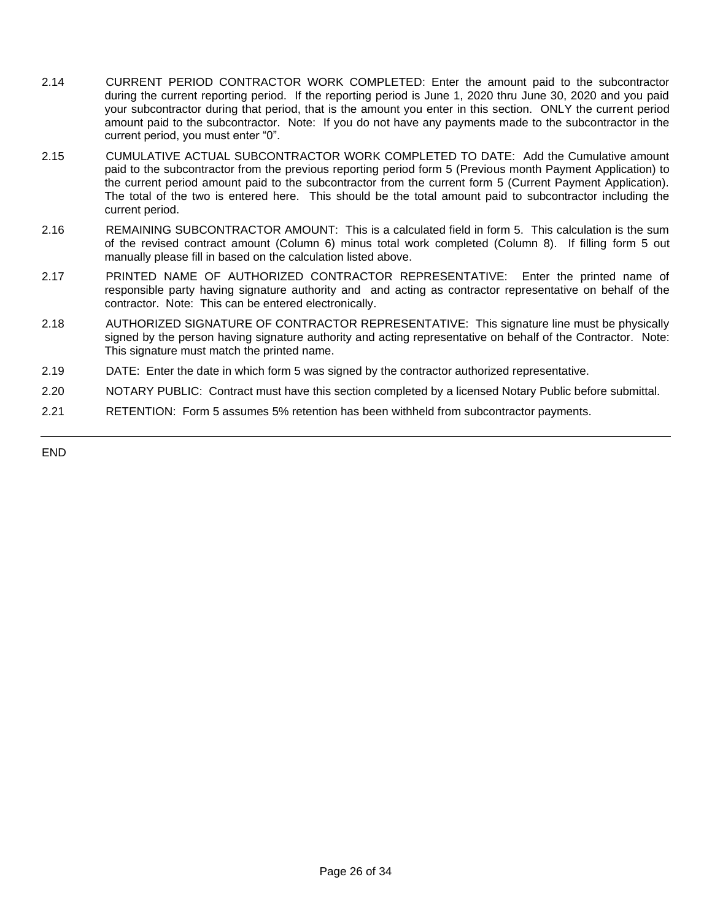- 2.14 CURRENT PERIOD CONTRACTOR WORK COMPLETED: Enter the amount paid to the subcontractor during the current reporting period. If the reporting period is June 1, 2020 thru June 30, 2020 and you paid your subcontractor during that period, that is the amount you enter in this section. ONLY the current period amount paid to the subcontractor. Note: If you do not have any payments made to the subcontractor in the current period, you must enter "0".
- 2.15 CUMULATIVE ACTUAL SUBCONTRACTOR WORK COMPLETED TO DATE: Add the Cumulative amount paid to the subcontractor from the previous reporting period form 5 (Previous month Payment Application) to the current period amount paid to the subcontractor from the current form 5 (Current Payment Application). The total of the two is entered here. This should be the total amount paid to subcontractor including the current period.
- 2.16 REMAINING SUBCONTRACTOR AMOUNT: This is a calculated field in form 5. This calculation is the sum of the revised contract amount (Column 6) minus total work completed (Column 8). If filling form 5 out manually please fill in based on the calculation listed above.
- 2.17 PRINTED NAME OF AUTHORIZED CONTRACTOR REPRESENTATIVE: Enter the printed name of responsible party having signature authority and and acting as contractor representative on behalf of the contractor. Note: This can be entered electronically.
- 2.18 AUTHORIZED SIGNATURE OF CONTRACTOR REPRESENTATIVE: This signature line must be physically signed by the person having signature authority and acting representative on behalf of the Contractor. Note: This signature must match the printed name.
- 2.19 DATE: Enter the date in which form 5 was signed by the contractor authorized representative.
- 2.20 NOTARY PUBLIC: Contract must have this section completed by a licensed Notary Public before submittal.
- 2.21 RETENTION: Form 5 assumes 5% retention has been withheld from subcontractor payments.

END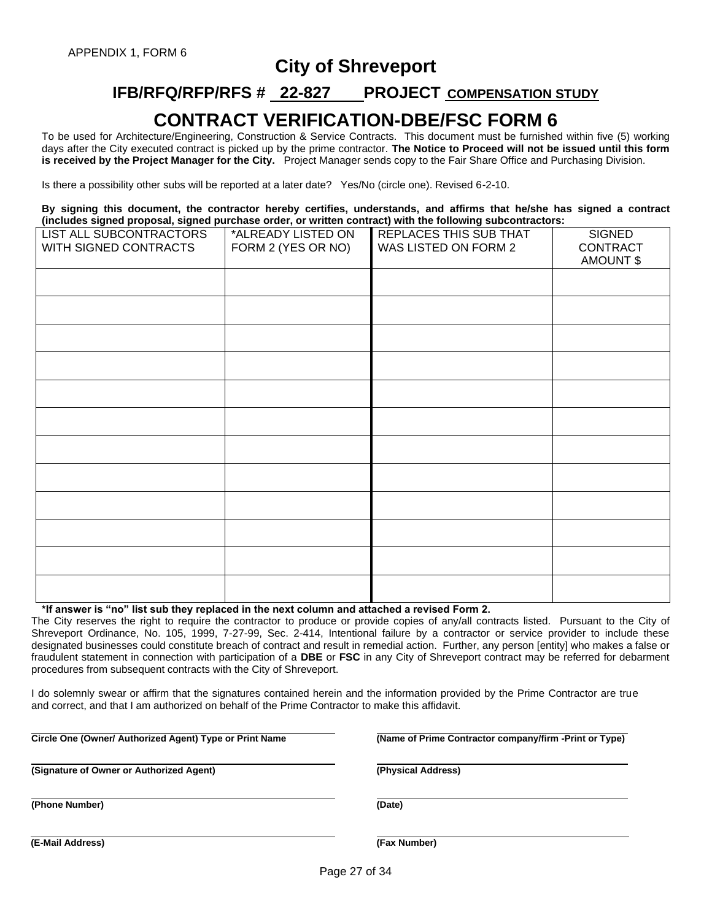# **City of Shreveport**

# **IFB/RFQ/RFP/RFS # 22-827 PROJECT COMPENSATION STUDY**

# **CONTRACT VERIFICATION-DBE/FSC FORM 6**

To be used for Architecture/Engineering, Construction & Service Contracts. This document must be furnished within five (5) working days after the City executed contract is picked up by the prime contractor. **The Notice to Proceed will not be issued until this form is received by the Project Manager for the City.** Project Manager sends copy to the Fair Share Office and Purchasing Division.

Is there a possibility other subs will be reported at a later date? Yes/No (circle one). Revised 6-2-10.

**By signing this document, the contractor hereby certifies, understands, and affirms that he/she has signed a contract (includes signed proposal, signed purchase order, or written contract) with the following subcontractors:**

| LIST ALL SUBCONTRACTORS<br>WITH SIGNED CONTRACTS | *ALREADY LISTED ON<br>FORM 2 (YES OR NO) | REPLACES THIS SUB THAT<br>WAS LISTED ON FORM 2 | <b>SIGNED</b><br>CONTRACT<br>AMOUNT \$ |
|--------------------------------------------------|------------------------------------------|------------------------------------------------|----------------------------------------|
|                                                  |                                          |                                                |                                        |
|                                                  |                                          |                                                |                                        |
|                                                  |                                          |                                                |                                        |
|                                                  |                                          |                                                |                                        |
|                                                  |                                          |                                                |                                        |
|                                                  |                                          |                                                |                                        |
|                                                  |                                          |                                                |                                        |
|                                                  |                                          |                                                |                                        |
|                                                  |                                          |                                                |                                        |
|                                                  |                                          |                                                |                                        |
|                                                  |                                          |                                                |                                        |
|                                                  |                                          |                                                |                                        |

#### **\*If answer is "no" list sub they replaced in the next column and attached a revised Form 2.**

The City reserves the right to require the contractor to produce or provide copies of any/all contracts listed. Pursuant to the City of Shreveport Ordinance, No. 105, 1999, 7-27-99, Sec. 2-414, Intentional failure by a contractor or service provider to include these designated businesses could constitute breach of contract and result in remedial action. Further, any person [entity] who makes a false or fraudulent statement in connection with participation of a **DBE** or **FSC** in any City of Shreveport contract may be referred for debarment procedures from subsequent contracts with the City of Shreveport.

I do solemnly swear or affirm that the signatures contained herein and the information provided by the Prime Contractor are true and correct, and that I am authorized on behalf of the Prime Contractor to make this affidavit.

**Circle One (Owner/ Authorized Agent) Type or Print Name (Name of Prime Contractor company/firm -Print or Type)**

**(Signature of Owner or Authorized Agent) (Physical Address)**

**(Phone Number) (Date)**

**(E-Mail Address) (Fax Number)**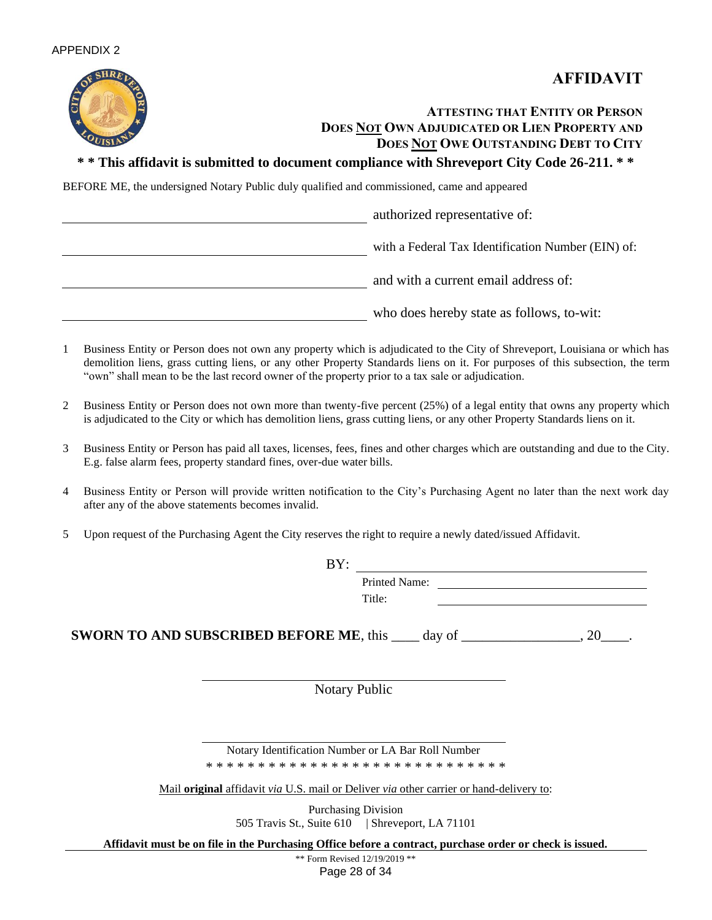



# **ATTESTING THAT ENTITY OR PERSON DOES NOT OWN ADJUDICATED OR LIEN PROPERTY AND DOES NOT OWE OUTSTANDING DEBT TO CITY**

# **\* \* This affidavit is submitted to document compliance with Shreveport City Code 26-211. \* \***

BEFORE ME, the undersigned Notary Public duly qualified and commissioned, came and appeared

authorized representative of: with a Federal Tax Identification Number (EIN) of: and with a current email address of: who does hereby state as follows, to-wit:

- 1 Business Entity or Person does not own any property which is adjudicated to the City of Shreveport, Louisiana or which has demolition liens, grass cutting liens, or any other Property Standards liens on it. For purposes of this subsection, the term "own" shall mean to be the last record owner of the property prior to a tax sale or adjudication.
- 2 Business Entity or Person does not own more than twenty-five percent (25%) of a legal entity that owns any property which is adjudicated to the City or which has demolition liens, grass cutting liens, or any other Property Standards liens on it.
- 3 Business Entity or Person has paid all taxes, licenses, fees, fines and other charges which are outstanding and due to the City. E.g. false alarm fees, property standard fines, over-due water bills.
- 4 Business Entity or Person will provide written notification to the City's Purchasing Agent no later than the next work day after any of the above statements becomes invalid.
- 5 Upon request of the Purchasing Agent the City reserves the right to require a newly dated/issued Affidavit.

| BY:                                                              |                      |
|------------------------------------------------------------------|----------------------|
|                                                                  | <b>Printed Name:</b> |
|                                                                  | Title:               |
| <b>SWORN TO AND SUBSCRIBED BEFORE ME, this _____ day of ____</b> |                      |

Notary Public

Notary Identification Number or LA Bar Roll Number \* \* \* \* \* \* \* \* \* \* \* \* \* \* \* \* \* \* \* \* \* \* \* \* \* \* \* \* \*

Mail **original** affidavit *via* U.S. mail or Deliver *via* other carrier or hand-delivery to:

Purchasing Division 505 Travis St., Suite 610 | Shreveport, LA 71101

**Affidavit must be on file in the Purchasing Office before a contract, purchase order or check is issued.**

Page 28 of 34 \*\* Form Revised 12/19/2019 \*\*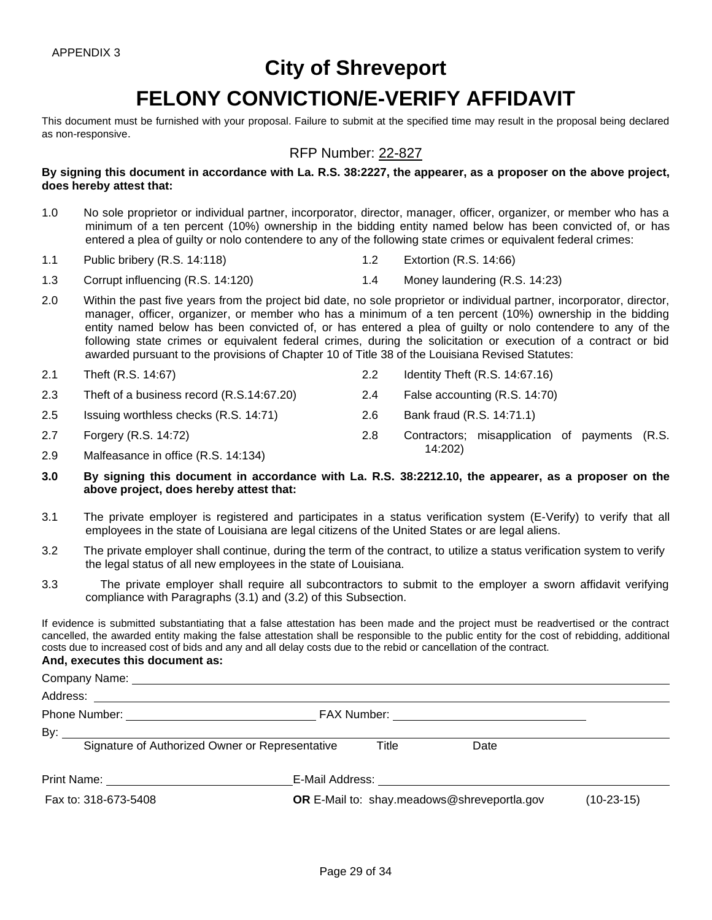# **City of Shreveport**

# **FELONY CONVICTION/E-VERIFY AFFIDAVIT**

This document must be furnished with your proposal. Failure to submit at the specified time may result in the proposal being declared as non-responsive.

# RFP Number: 22-827

**By signing this document in accordance with La. R.S. 38:2227, the appearer, as a proposer on the above project, does hereby attest that:**

- 1.0 No sole proprietor or individual partner, incorporator, director, manager, officer, organizer, or member who has a minimum of a ten percent (10%) ownership in the bidding entity named below has been convicted of, or has entered a plea of guilty or nolo contendere to any of the following state crimes or equivalent federal crimes:
- 1.1 Public bribery (R.S. 14:118) 1.2 Extortion (R.S. 14:66)
- 1.3 Corrupt influencing (R.S. 14:120) 1.4 Money laundering (R.S. 14:23)
- 2.0 Within the past five years from the project bid date, no sole proprietor or individual partner, incorporator, director, manager, officer, organizer, or member who has a minimum of a ten percent (10%) ownership in the bidding entity named below has been convicted of, or has entered a plea of guilty or nolo contendere to any of the following state crimes or equivalent federal crimes, during the solicitation or execution of a contract or bid awarded pursuant to the provisions of Chapter 10 of Title 38 of the Louisiana Revised Statutes:
- 2.1 Theft (R.S. 14:67) 2.2 Identity Theft (R.S. 14:67.16) 2.3 Theft of a business record (R.S.14:67.20) 2.4 False accounting (R.S. 14:70)
- 
- 2.5 Issuing worthless checks (R.S. 14:71) 2.6 Bank fraud (R.S. 14:71.1)
- 2.7 Forgery (R.S. 14:72) 2.8 Contractors; misapplication of payments (R.S.
- 14:202) 2.9 Malfeasance in office (R.S. 14:134)
- **3.0 By signing this document in accordance with La. R.S. 38:2212.10, the appearer, as a proposer on the above project, does hereby attest that:**
- 3.1 The private employer is registered and participates in a status verification system (E-Verify) to verify that all employees in the state of Louisiana are legal citizens of the United States or are legal aliens.
- 3.2 The private employer shall continue, during the term of the contract, to utilize a status verification system to verify the legal status of all new employees in the state of Louisiana.
- 3.3 The private employer shall require all subcontractors to submit to the employer a sworn affidavit verifying compliance with Paragraphs (3.1) and (3.2) of this Subsection.

If evidence is submitted substantiating that a false attestation has been made and the project must be readvertised or the contract cancelled, the awarded entity making the false attestation shall be responsible to the public entity for the cost of rebidding, additional costs due to increased cost of bids and any and all delay costs due to the rebid or cancellation of the contract.

#### **And, executes this document as:**

| Signature of Authorized Owner or Representative      | Title | Date                                               |              |
|------------------------------------------------------|-------|----------------------------------------------------|--------------|
| Print Name: <u>_________________________________</u> |       |                                                    |              |
| Fax to: 318-673-5408                                 |       | <b>OR</b> E-Mail to: shay.meadows@shreveportla.gov | $(10-23-15)$ |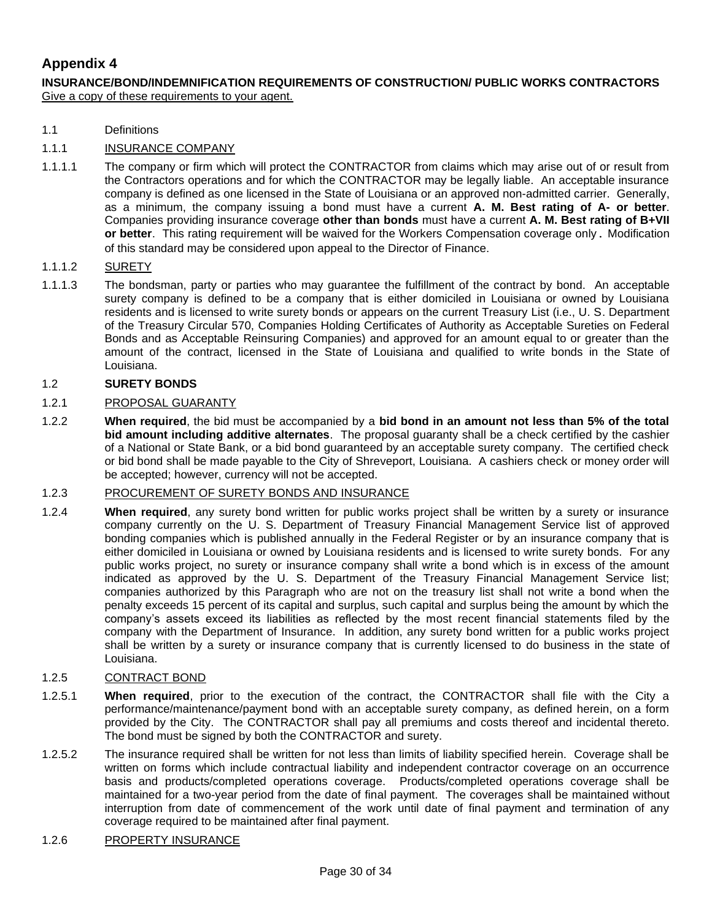# **Appendix 4**

**INSURANCE/BOND/INDEMNIFICATION REQUIREMENTS OF CONSTRUCTION/ PUBLIC WORKS CONTRACTORS** Give a copy of these requirements to your agent.

1.1 Definitions

# 1.1.1 INSURANCE COMPANY

1.1.1.1 The company or firm which will protect the CONTRACTOR from claims which may arise out of or result from the Contractors operations and for which the CONTRACTOR may be legally liable. An acceptable insurance company is defined as one licensed in the State of Louisiana or an approved non-admitted carrier. Generally, as a minimum, the company issuing a bond must have a current **A. M. Best rating of A- or better**. Companies providing insurance coverage **other than bonds** must have a current **A. M. Best rating of B+VII or better**. This rating requirement will be waived for the Workers Compensation coverage only. Modification of this standard may be considered upon appeal to the Director of Finance.

#### 1.1.1.2 SURETY

1.1.1.3 The bondsman, party or parties who may guarantee the fulfillment of the contract by bond. An acceptable surety company is defined to be a company that is either domiciled in Louisiana or owned by Louisiana residents and is licensed to write surety bonds or appears on the current Treasury List (i.e., U. S. Department of the Treasury Circular 570, Companies Holding Certificates of Authority as Acceptable Sureties on Federal Bonds and as Acceptable Reinsuring Companies) and approved for an amount equal to or greater than the amount of the contract, licensed in the State of Louisiana and qualified to write bonds in the State of Louisiana.

#### 1.2 **SURETY BONDS**

#### 1.2.1 PROPOSAL GUARANTY

1.2.2 **When required**, the bid must be accompanied by a **bid bond in an amount not less than 5% of the total bid amount including additive alternates**. The proposal guaranty shall be a check certified by the cashier of a National or State Bank, or a bid bond guaranteed by an acceptable surety company. The certified check or bid bond shall be made payable to the City of Shreveport, Louisiana. A cashiers check or money order will be accepted; however, currency will not be accepted.

#### 1.2.3 PROCUREMENT OF SURETY BONDS AND INSURANCE

1.2.4 **When required**, any surety bond written for public works project shall be written by a surety or insurance company currently on the U. S. Department of Treasury Financial Management Service list of approved bonding companies which is published annually in the Federal Register or by an insurance company that is either domiciled in Louisiana or owned by Louisiana residents and is licensed to write surety bonds. For any public works project, no surety or insurance company shall write a bond which is in excess of the amount indicated as approved by the U. S. Department of the Treasury Financial Management Service list; companies authorized by this Paragraph who are not on the treasury list shall not write a bond when the penalty exceeds 15 percent of its capital and surplus, such capital and surplus being the amount by which the company's assets exceed its liabilities as reflected by the most recent financial statements filed by the company with the Department of Insurance. In addition, any surety bond written for a public works project shall be written by a surety or insurance company that is currently licensed to do business in the state of Louisiana.

### 1.2.5 CONTRACT BOND

- 1.2.5.1 **When required**, prior to the execution of the contract, the CONTRACTOR shall file with the City a performance/maintenance/payment bond with an acceptable surety company, as defined herein, on a form provided by the City. The CONTRACTOR shall pay all premiums and costs thereof and incidental thereto. The bond must be signed by both the CONTRACTOR and surety.
- 1.2.5.2 The insurance required shall be written for not less than limits of liability specified herein. Coverage shall be written on forms which include contractual liability and independent contractor coverage on an occurrence basis and products/completed operations coverage. Products/completed operations coverage shall be maintained for a two-year period from the date of final payment. The coverages shall be maintained without interruption from date of commencement of the work until date of final payment and termination of any coverage required to be maintained after final payment.

#### 1.2.6 PROPERTY INSURANCE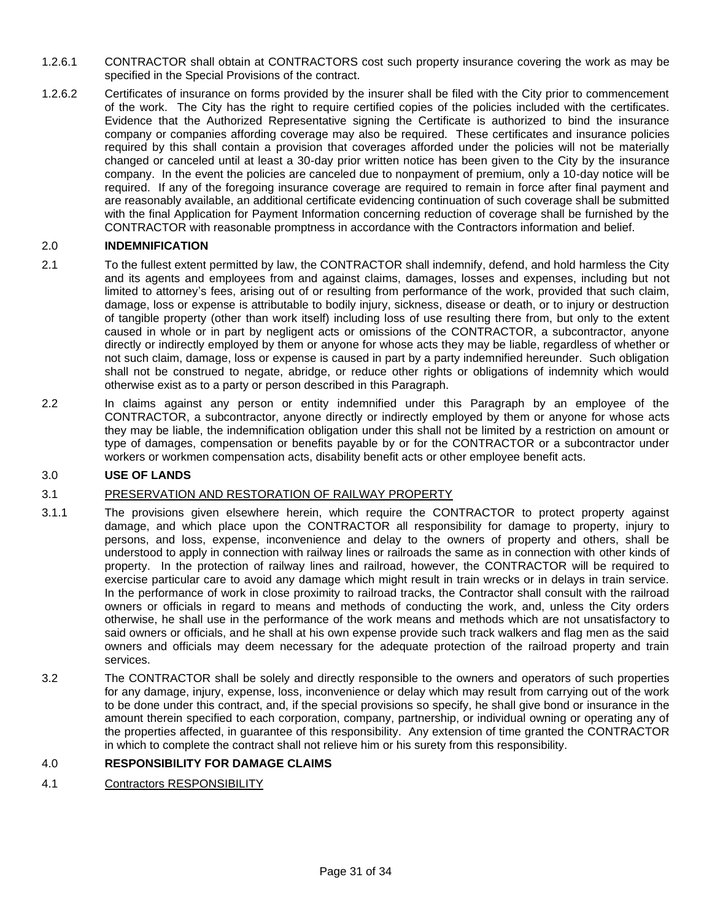- 1.2.6.1 CONTRACTOR shall obtain at CONTRACTORS cost such property insurance covering the work as may be specified in the Special Provisions of the contract.
- 1.2.6.2 Certificates of insurance on forms provided by the insurer shall be filed with the City prior to commencement of the work. The City has the right to require certified copies of the policies included with the certificates. Evidence that the Authorized Representative signing the Certificate is authorized to bind the insurance company or companies affording coverage may also be required. These certificates and insurance policies required by this shall contain a provision that coverages afforded under the policies will not be materially changed or canceled until at least a 30-day prior written notice has been given to the City by the insurance company. In the event the policies are canceled due to nonpayment of premium, only a 10-day notice will be required. If any of the foregoing insurance coverage are required to remain in force after final payment and are reasonably available, an additional certificate evidencing continuation of such coverage shall be submitted with the final Application for Payment Information concerning reduction of coverage shall be furnished by the CONTRACTOR with reasonable promptness in accordance with the Contractors information and belief.

### 2.0 **INDEMNIFICATION**

- 2.1 To the fullest extent permitted by law, the CONTRACTOR shall indemnify, defend, and hold harmless the City and its agents and employees from and against claims, damages, losses and expenses, including but not limited to attorney's fees, arising out of or resulting from performance of the work, provided that such claim, damage, loss or expense is attributable to bodily injury, sickness, disease or death, or to injury or destruction of tangible property (other than work itself) including loss of use resulting there from, but only to the extent caused in whole or in part by negligent acts or omissions of the CONTRACTOR, a subcontractor, anyone directly or indirectly employed by them or anyone for whose acts they may be liable, regardless of whether or not such claim, damage, loss or expense is caused in part by a party indemnified hereunder. Such obligation shall not be construed to negate, abridge, or reduce other rights or obligations of indemnity which would otherwise exist as to a party or person described in this Paragraph.
- 2.2 In claims against any person or entity indemnified under this Paragraph by an employee of the CONTRACTOR, a subcontractor, anyone directly or indirectly employed by them or anyone for whose acts they may be liable, the indemnification obligation under this shall not be limited by a restriction on amount or type of damages, compensation or benefits payable by or for the CONTRACTOR or a subcontractor under workers or workmen compensation acts, disability benefit acts or other employee benefit acts.

# 3.0 **USE OF LANDS**

### 3.1 PRESERVATION AND RESTORATION OF RAILWAY PROPERTY

- 3.1.1 The provisions given elsewhere herein, which require the CONTRACTOR to protect property against damage, and which place upon the CONTRACTOR all responsibility for damage to property, injury to persons, and loss, expense, inconvenience and delay to the owners of property and others, shall be understood to apply in connection with railway lines or railroads the same as in connection with other kinds of property. In the protection of railway lines and railroad, however, the CONTRACTOR will be required to exercise particular care to avoid any damage which might result in train wrecks or in delays in train service. In the performance of work in close proximity to railroad tracks, the Contractor shall consult with the railroad owners or officials in regard to means and methods of conducting the work, and, unless the City orders otherwise, he shall use in the performance of the work means and methods which are not unsatisfactory to said owners or officials, and he shall at his own expense provide such track walkers and flag men as the said owners and officials may deem necessary for the adequate protection of the railroad property and train services.
- 3.2 The CONTRACTOR shall be solely and directly responsible to the owners and operators of such properties for any damage, injury, expense, loss, inconvenience or delay which may result from carrying out of the work to be done under this contract, and, if the special provisions so specify, he shall give bond or insurance in the amount therein specified to each corporation, company, partnership, or individual owning or operating any of the properties affected, in guarantee of this responsibility. Any extension of time granted the CONTRACTOR in which to complete the contract shall not relieve him or his surety from this responsibility.

### 4.0 **RESPONSIBILITY FOR DAMAGE CLAIMS**

4.1 Contractors RESPONSIBILITY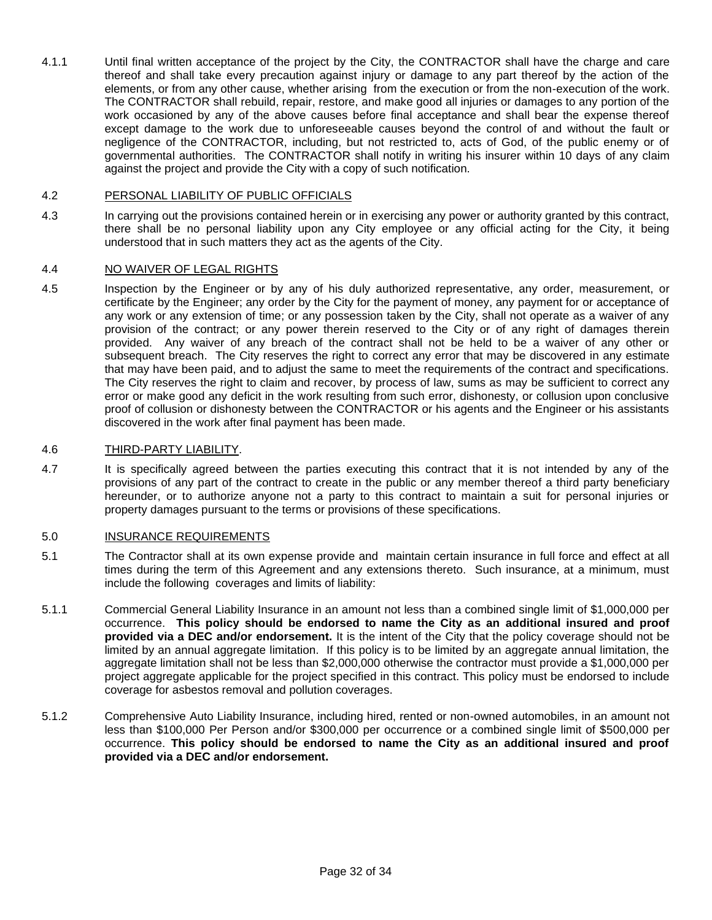4.1.1 Until final written acceptance of the project by the City, the CONTRACTOR shall have the charge and care thereof and shall take every precaution against injury or damage to any part thereof by the action of the elements, or from any other cause, whether arising from the execution or from the non-execution of the work. The CONTRACTOR shall rebuild, repair, restore, and make good all injuries or damages to any portion of the work occasioned by any of the above causes before final acceptance and shall bear the expense thereof except damage to the work due to unforeseeable causes beyond the control of and without the fault or negligence of the CONTRACTOR, including, but not restricted to, acts of God, of the public enemy or of governmental authorities. The CONTRACTOR shall notify in writing his insurer within 10 days of any claim against the project and provide the City with a copy of such notification.

#### 4.2 PERSONAL LIABILITY OF PUBLIC OFFICIALS

4.3 In carrying out the provisions contained herein or in exercising any power or authority granted by this contract, there shall be no personal liability upon any City employee or any official acting for the City, it being understood that in such matters they act as the agents of the City.

#### 4.4 NO WAIVER OF LEGAL RIGHTS

4.5 Inspection by the Engineer or by any of his duly authorized representative, any order, measurement, or certificate by the Engineer; any order by the City for the payment of money, any payment for or acceptance of any work or any extension of time; or any possession taken by the City, shall not operate as a waiver of any provision of the contract; or any power therein reserved to the City or of any right of damages therein provided. Any waiver of any breach of the contract shall not be held to be a waiver of any other or subsequent breach. The City reserves the right to correct any error that may be discovered in any estimate that may have been paid, and to adjust the same to meet the requirements of the contract and specifications. The City reserves the right to claim and recover, by process of law, sums as may be sufficient to correct any error or make good any deficit in the work resulting from such error, dishonesty, or collusion upon conclusive proof of collusion or dishonesty between the CONTRACTOR or his agents and the Engineer or his assistants discovered in the work after final payment has been made.

#### 4.6 THIRD-PARTY LIABILITY.

4.7 It is specifically agreed between the parties executing this contract that it is not intended by any of the provisions of any part of the contract to create in the public or any member thereof a third party beneficiary hereunder, or to authorize anyone not a party to this contract to maintain a suit for personal injuries or property damages pursuant to the terms or provisions of these specifications.

#### 5.0 INSURANCE REQUIREMENTS

- 5.1 The Contractor shall at its own expense provide and maintain certain insurance in full force and effect at all times during the term of this Agreement and any extensions thereto. Such insurance, at a minimum, must include the following coverages and limits of liability:
- 5.1.1 Commercial General Liability Insurance in an amount not less than a combined single limit of \$1,000,000 per occurrence. **This policy should be endorsed to name the City as an additional insured and proof provided via a DEC and/or endorsement.** It is the intent of the City that the policy coverage should not be limited by an annual aggregate limitation. If this policy is to be limited by an aggregate annual limitation, the aggregate limitation shall not be less than \$2,000,000 otherwise the contractor must provide a \$1,000,000 per project aggregate applicable for the project specified in this contract. This policy must be endorsed to include coverage for asbestos removal and pollution coverages.
- 5.1.2 Comprehensive Auto Liability Insurance, including hired, rented or non-owned automobiles, in an amount not less than \$100,000 Per Person and/or \$300,000 per occurrence or a combined single limit of \$500,000 per occurrence. **This policy should be endorsed to name the City as an additional insured and proof provided via a DEC and/or endorsement.**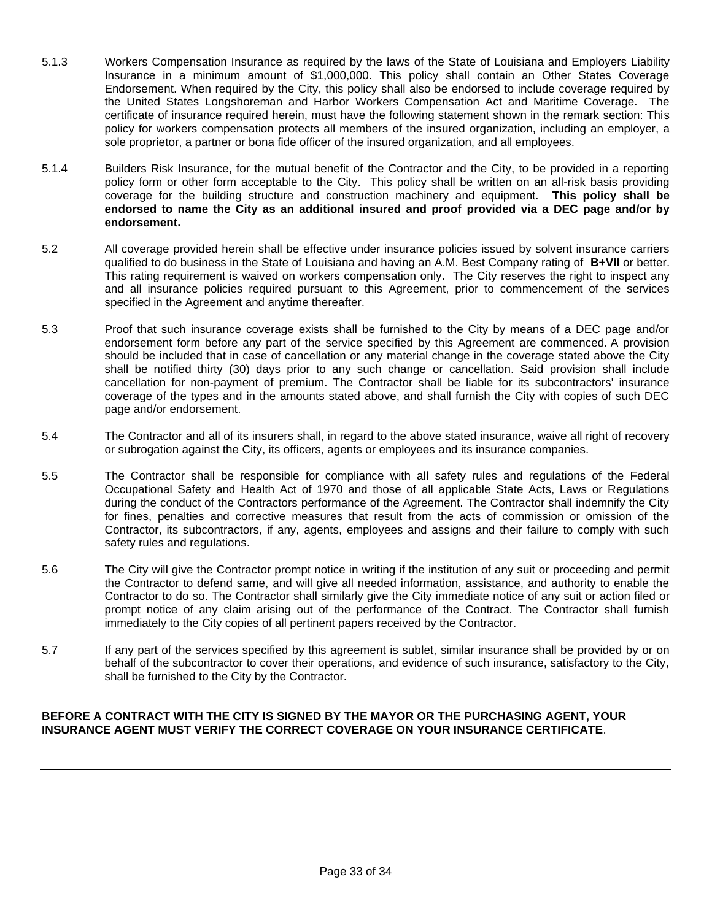- 5.1.3 Workers Compensation Insurance as required by the laws of the State of Louisiana and Employers Liability Insurance in a minimum amount of \$1,000,000. This policy shall contain an Other States Coverage Endorsement. When required by the City, this policy shall also be endorsed to include coverage required by the United States Longshoreman and Harbor Workers Compensation Act and Maritime Coverage. The certificate of insurance required herein, must have the following statement shown in the remark section: This policy for workers compensation protects all members of the insured organization, including an employer, a sole proprietor, a partner or bona fide officer of the insured organization, and all employees.
- 5.1.4 Builders Risk Insurance, for the mutual benefit of the Contractor and the City, to be provided in a reporting policy form or other form acceptable to the City. This policy shall be written on an all-risk basis providing coverage for the building structure and construction machinery and equipment. **This policy shall be endorsed to name the City as an additional insured and proof provided via a DEC page and/or by endorsement.**
- 5.2 All coverage provided herein shall be effective under insurance policies issued by solvent insurance carriers qualified to do business in the State of Louisiana and having an A.M. Best Company rating of **B+VII** or better. This rating requirement is waived on workers compensation only. The City reserves the right to inspect any and all insurance policies required pursuant to this Agreement, prior to commencement of the services specified in the Agreement and anytime thereafter.
- 5.3 Proof that such insurance coverage exists shall be furnished to the City by means of a DEC page and/or endorsement form before any part of the service specified by this Agreement are commenced. A provision should be included that in case of cancellation or any material change in the coverage stated above the City shall be notified thirty (30) days prior to any such change or cancellation. Said provision shall include cancellation for non-payment of premium. The Contractor shall be liable for its subcontractors' insurance coverage of the types and in the amounts stated above, and shall furnish the City with copies of such DEC page and/or endorsement.
- 5.4 The Contractor and all of its insurers shall, in regard to the above stated insurance, waive all right of recovery or subrogation against the City, its officers, agents or employees and its insurance companies.
- 5.5 The Contractor shall be responsible for compliance with all safety rules and regulations of the Federal Occupational Safety and Health Act of 1970 and those of all applicable State Acts, Laws or Regulations during the conduct of the Contractors performance of the Agreement. The Contractor shall indemnify the City for fines, penalties and corrective measures that result from the acts of commission or omission of the Contractor, its subcontractors, if any, agents, employees and assigns and their failure to comply with such safety rules and regulations.
- 5.6 The City will give the Contractor prompt notice in writing if the institution of any suit or proceeding and permit the Contractor to defend same, and will give all needed information, assistance, and authority to enable the Contractor to do so. The Contractor shall similarly give the City immediate notice of any suit or action filed or prompt notice of any claim arising out of the performance of the Contract. The Contractor shall furnish immediately to the City copies of all pertinent papers received by the Contractor.
- 5.7 If any part of the services specified by this agreement is sublet, similar insurance shall be provided by or on behalf of the subcontractor to cover their operations, and evidence of such insurance, satisfactory to the City, shall be furnished to the City by the Contractor.

### **BEFORE A CONTRACT WITH THE CITY IS SIGNED BY THE MAYOR OR THE PURCHASING AGENT, YOUR INSURANCE AGENT MUST VERIFY THE CORRECT COVERAGE ON YOUR INSURANCE CERTIFICATE**.